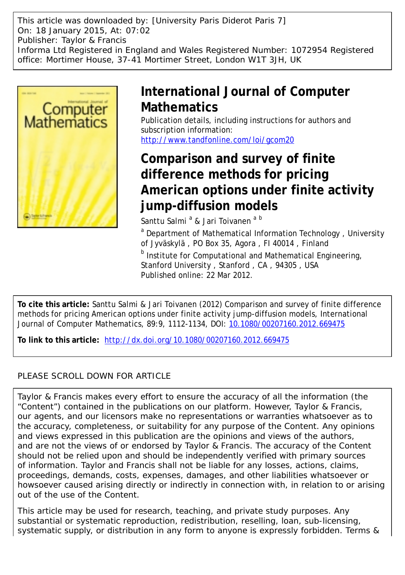This article was downloaded by: [University Paris Diderot Paris 7] On: 18 January 2015, At: 07:02 Publisher: Taylor & Francis Informa Ltd Registered in England and Wales Registered Number: 1072954 Registered office: Mortimer House, 37-41 Mortimer Street, London W1T 3JH, UK



# **International Journal of Computer Mathematics**

Publication details, including instructions for authors and subscription information: <http://www.tandfonline.com/loi/gcom20>

# **Comparison and survey of finite difference methods for pricing American options under finite activity jump-diffusion models**

Santtu Salmi<sup>a</sup> & Jari Toivanen <sup>a b</sup>

<sup>a</sup> Department of Mathematical Information Technology, University of Jyväskylä , PO Box 35, Agora , FI 40014 , Finland **b** Institute for Computational and Mathematical Engineering,

Stanford University , Stanford , CA , 94305 , USA Published online: 22 Mar 2012.

**To cite this article:** Santtu Salmi & Jari Toivanen (2012) Comparison and survey of finite difference methods for pricing American options under finite activity jump-diffusion models, International Journal of Computer Mathematics, 89:9, 1112-1134, DOI: [10.1080/00207160.2012.669475](http://www.tandfonline.com/action/showCitFormats?doi=10.1080/00207160.2012.669475)

**To link to this article:** <http://dx.doi.org/10.1080/00207160.2012.669475>

# PLEASE SCROLL DOWN FOR ARTICLE

Taylor & Francis makes every effort to ensure the accuracy of all the information (the "Content") contained in the publications on our platform. However, Taylor & Francis, our agents, and our licensors make no representations or warranties whatsoever as to the accuracy, completeness, or suitability for any purpose of the Content. Any opinions and views expressed in this publication are the opinions and views of the authors, and are not the views of or endorsed by Taylor & Francis. The accuracy of the Content should not be relied upon and should be independently verified with primary sources of information. Taylor and Francis shall not be liable for any losses, actions, claims, proceedings, demands, costs, expenses, damages, and other liabilities whatsoever or howsoever caused arising directly or indirectly in connection with, in relation to or arising out of the use of the Content.

This article may be used for research, teaching, and private study purposes. Any substantial or systematic reproduction, redistribution, reselling, loan, sub-licensing, systematic supply, or distribution in any form to anyone is expressly forbidden. Terms &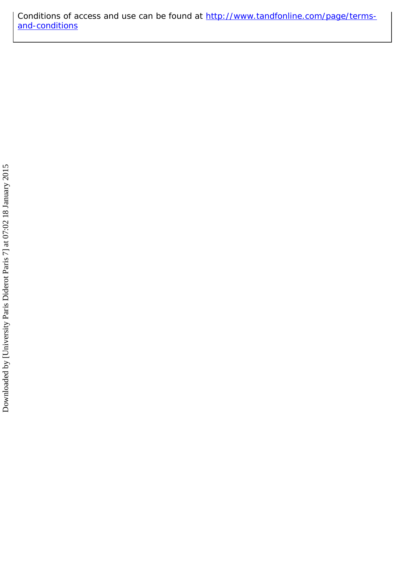Conditions of access and use can be found at [http://www.tandfonline.com/page/terms](http://www.tandfonline.com/page/terms-and-conditions)[and-conditions](http://www.tandfonline.com/page/terms-and-conditions)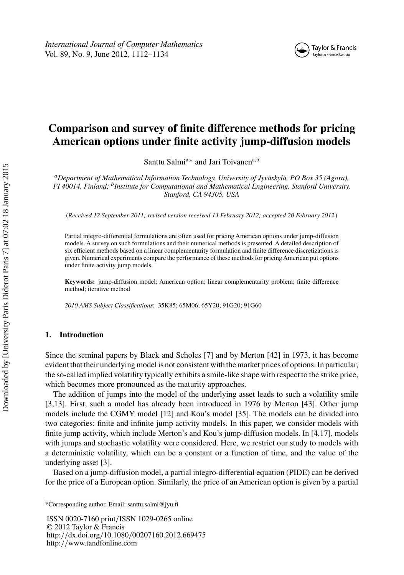

# **Comparison and survey of finite difference methods for pricing American options under finite activity jump-diffusion models**

Santtu Salmi<sup>a\*</sup> and Jari Toivanen<sup>a,b</sup>

*aDepartment of Mathematical Information Technology, University of Jyväskylä, PO Box 35 (Agora), FI 40014, Finland; bInstitute for Computational and Mathematical Engineering, Stanford University, Stanford, CA 94305, USA*

(*Received 12 September 2011; revised version received 13 February 2012; accepted 20 February 2012*)

Partial integro-differential formulations are often used for pricing American options under jump-diffusion models. A survey on such formulations and their numerical methods is presented. A detailed description of six efficient methods based on a linear complementarity formulation and finite difference discretizations is given. Numerical experiments compare the performance of these methods for pricing American put options under finite activity jump models.

**Keywords:** jump-diffusion model; American option; linear complementarity problem; finite difference method; iterative method

*2010 AMS Subject Classifications*: 35K85; 65M06; 65Y20; 91G20; 91G60

## **1. Introduction**

Since the seminal papers by Black and Scholes [\[7](#page-23-0)] and by Merton [\[42\]](#page-24-0) in 1973, it has become evident that their underlying model is not consistent with the market prices of options. In particular, the so-called implied volatility typically exhibits a smile-like shape with respect to the strike price, which becomes more pronounced as the maturity approaches.

The addition of jumps into the model of the underlying asset leads to such a volatility smile [\[3,13](#page-23-0)]. First, such a model has already been introduced in 1976 by Merton [\[43\]](#page-24-0). Other jump models include the CGMY model [\[12](#page-23-0)] and Kou's model [\[35\]](#page-24-0). The models can be divided into two categories: finite and infinite jump activity models. In this paper, we consider models with finite jump activity, which include Merton's and Kou's jump-diffusion models. In [\[4,17\]](#page-23-0), models with jumps and stochastic volatility were considered. Here, we restrict our study to models with a deterministic volatility, which can be a constant or a function of time, and the value of the underlying asset [\[3](#page-23-0)].

Based on a jump-diffusion model, a partial integro-differential equation (PIDE) can be derived for the price of a European option. Similarly, the price of an American option is given by a partial

ISSN 0020-7160 print*/*ISSN 1029-0265 online © 2012 Taylor & Francis http:*//*dx.doi.org*/*10.1080*/*00207160.2012.669475 http:*//*www.tandfonline.com

<sup>\*</sup>Corresponding author. Email: santtu.salmi@jyu.fi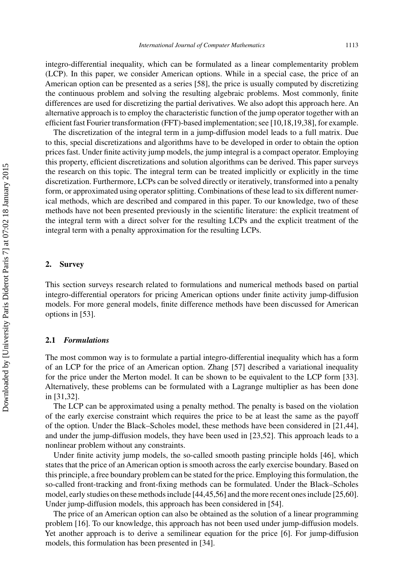integro-differential inequality, which can be formulated as a linear complementarity problem (LCP). In this paper, we consider American options. While in a special case, the price of an American option can be presented as a series [\[58\]](#page-24-0), the price is usually computed by discretizing the continuous problem and solving the resulting algebraic problems. Most commonly, finite differences are used for discretizing the partial derivatives. We also adopt this approach here. An alternative approach is to employ the characteristic function of the jump operator together with an efficient fast Fourier transformation (FFT)-based implementation; see [\[10,18,19](#page-23-0)[,38](#page-24-0)], for example.

The discretization of the integral term in a jump-diffusion model leads to a full matrix. Due to this, special discretizations and algorithms have to be developed in order to obtain the option prices fast. Under finite activity jump models, the jump integral is a compact operator. Employing this property, efficient discretizations and solution algorithms can be derived. This paper surveys the research on this topic. The integral term can be treated implicitly or explicitly in the time discretization. Furthermore, LCPs can be solved directly or iteratively, transformed into a penalty form, or approximated using operator splitting. Combinations of these lead to six different numerical methods, which are described and compared in this paper. To our knowledge, two of these methods have not been presented previously in the scientific literature: the explicit treatment of the integral term with a direct solver for the resulting LCPs and the explicit treatment of the integral term with a penalty approximation for the resulting LCPs.

#### **2. Survey**

This section surveys research related to formulations and numerical methods based on partial integro-differential operators for pricing American options under finite activity jump-diffusion models. For more general models, finite difference methods have been discussed for American options in [\[53\]](#page-24-0).

#### **2.1** *Formulations*

The most common way is to formulate a partial integro-differential inequality which has a form of an LCP for the price of an American option. Zhang [\[57](#page-24-0)] described a variational inequality for the price under the Merton model. It can be shown to be equivalent to the LCP form [\[33](#page-24-0)]. Alternatively, these problems can be formulated with a Lagrange multiplier as has been done in [\[31](#page-23-0)[,32\]](#page-24-0).

The LCP can be approximated using a penalty method. The penalty is based on the violation of the early exercise constraint which requires the price to be at least the same as the payoff of the option. Under the Black–Scholes model, these methods have been considered in [\[21](#page-23-0)[,44](#page-24-0)], and under the jump-diffusion models, they have been used in [\[23](#page-23-0)[,52\]](#page-24-0). This approach leads to a nonlinear problem without any constraints.

Under finite activity jump models, the so-called smooth pasting principle holds [\[46\]](#page-24-0), which states that the price of an American option is smooth across the early exercise boundary. Based on this principle, a free boundary problem can be stated for the price. Employing this formulation, the so-called front-tracking and front-fixing methods can be formulated. Under the Black–Scholes model, early studies on these methods include [\[44,45,56](#page-24-0)] and the more recent ones include [\[25](#page-23-0)[,60](#page-24-0)]. Under jump-diffusion models, this approach has been considered in [\[54\]](#page-24-0).

The price of an American option can also be obtained as the solution of a linear programming problem [\[16\]](#page-23-0). To our knowledge, this approach has not been used under jump-diffusion models. Yet another approach is to derive a semilinear equation for the price [\[6](#page-23-0)]. For jump-diffusion models, this formulation has been presented in [\[34\]](#page-24-0).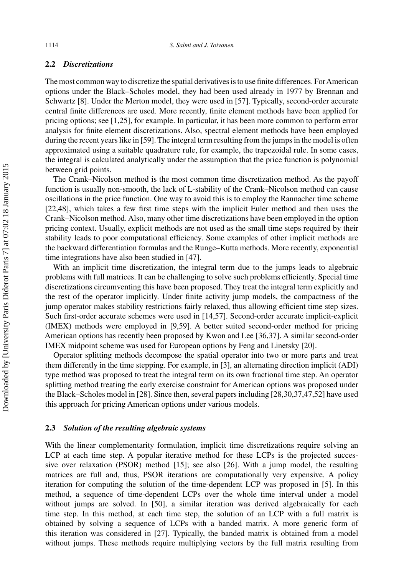#### **2.2** *Discretizations*

The most common way to discretize the spatial derivatives is to use finite differences. For American options under the Black–Scholes model, they had been used already in 1977 by Brennan and Schwartz [\[8](#page-23-0)]. Under the Merton model, they were used in [\[57](#page-24-0)]. Typically, second-order accurate central finite differences are used. More recently, finite element methods have been applied for pricing options; see [\[1,25\]](#page-23-0), for example. In particular, it has been more common to perform error analysis for finite element discretizations. Also, spectral element methods have been employed during the recent years like in [\[59\]](#page-24-0). The integral term resulting from the jumps in the model is often approximated using a suitable quadrature rule, for example, the trapezoidal rule. In some cases, the integral is calculated analytically under the assumption that the price function is polynomial between grid points.

The Crank–Nicolson method is the most common time discretization method. As the payoff function is usually non-smooth, the lack of L-stability of the Crank–Nicolson method can cause oscillations in the price function. One way to avoid this is to employ the Rannacher time scheme [\[22](#page-23-0)[,48](#page-24-0)], which takes a few first time steps with the implicit Euler method and then uses the Crank–Nicolson method. Also, many other time discretizations have been employed in the option pricing context. Usually, explicit methods are not used as the small time steps required by their stability leads to poor computational efficiency. Some examples of other implicit methods are the backward differentiation formulas and the Runge–Kutta methods. More recently, exponential time integrations have also been studied in [\[47](#page-24-0)].

With an implicit time discretization, the integral term due to the jumps leads to algebraic problems with full matrices. It can be challenging to solve such problems efficiently. Special time discretizations circumventing this have been proposed. They treat the integral term explicitly and the rest of the operator implicitly. Under finite activity jump models, the compactness of the jump operator makes stability restrictions fairly relaxed, thus allowing efficient time step sizes. Such first-order accurate schemes were used in [\[14](#page-23-0)[,57\]](#page-24-0). Second-order accurate implicit-explicit (IMEX) methods were employed in [\[9](#page-23-0)[,59\]](#page-24-0). A better suited second-order method for pricing American options has recently been proposed by Kwon and Lee [\[36,37](#page-24-0)]. A similar second-order IMEX midpoint scheme was used for European options by Feng and Linetsky [\[20\]](#page-23-0).

Operator splitting methods decompose the spatial operator into two or more parts and treat them differently in the time stepping. For example, in [\[3\]](#page-23-0), an alternating direction implicit (ADI) type method was proposed to treat the integral term on its own fractional time step. An operator splitting method treating the early exercise constraint for American options was proposed under the Black–Scholes model in [\[28](#page-23-0)]. Since then, several papers including [\[28,30](#page-23-0)[,37,47,52\]](#page-24-0) have used this approach for pricing American options under various models.

### **2.3** *Solution of the resulting algebraic systems*

With the linear complementarity formulation, implicit time discretizations require solving an LCP at each time step. A popular iterative method for these LCPs is the projected successive over relaxation (PSOR) method [\[15](#page-23-0)]; see also [\[26\]](#page-23-0). With a jump model, the resulting matrices are full and, thus, PSOR iterations are computationally very expensive. A policy iteration for computing the solution of the time-dependent LCP was proposed in [\[5\]](#page-23-0). In this method, a sequence of time-dependent LCPs over the whole time interval under a model without jumps are solved. In [\[50](#page-24-0)], a similar iteration was derived algebraically for each time step. In this method, at each time step, the solution of an LCP with a full matrix is obtained by solving a sequence of LCPs with a banded matrix. A more generic form of this iteration was considered in [\[27\]](#page-23-0). Typically, the banded matrix is obtained from a model without jumps. These methods require multiplying vectors by the full matrix resulting from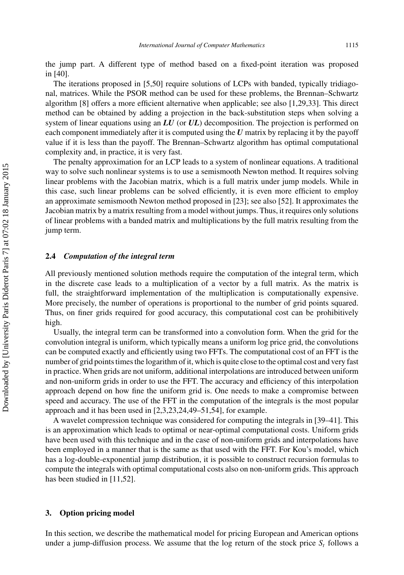the jump part. A different type of method based on a fixed-point iteration was proposed in [\[40](#page-24-0)].

The iterations proposed in [\[5](#page-23-0)[,50\]](#page-24-0) require solutions of LCPs with banded, typically tridiagonal, matrices. While the PSOR method can be used for these problems, the Brennan–Schwartz algorithm [\[8](#page-23-0)] offers a more efficient alternative when applicable; see also [\[1,29](#page-23-0)[,33](#page-24-0)]. This direct method can be obtained by adding a projection in the back-substitution steps when solving a system of linear equations using an *LU* (or *UL*) decomposition. The projection is performed on each component immediately after it is computed using the *U* matrix by replacing it by the payoff value if it is less than the payoff. The Brennan–Schwartz algorithm has optimal computational complexity and, in practice, it is very fast.

The penalty approximation for an LCP leads to a system of nonlinear equations. A traditional way to solve such nonlinear systems is to use a semismooth Newton method. It requires solving linear problems with the Jacobian matrix, which is a full matrix under jump models. While in this case, such linear problems can be solved efficiently, it is even more efficient to employ an approximate semismooth Newton method proposed in [\[23](#page-23-0)]; see also [\[52](#page-24-0)]. It approximates the Jacobian matrix by a matrix resulting from a model without jumps. Thus, it requires only solutions of linear problems with a banded matrix and multiplications by the full matrix resulting from the jump term.

#### **2.4** *Computation of the integral term*

All previously mentioned solution methods require the computation of the integral term, which in the discrete case leads to a multiplication of a vector by a full matrix. As the matrix is full, the straightforward implementation of the multiplication is computationally expensive. More precisely, the number of operations is proportional to the number of grid points squared. Thus, on finer grids required for good accuracy, this computational cost can be prohibitively high.

Usually, the integral term can be transformed into a convolution form. When the grid for the convolution integral is uniform, which typically means a uniform log price grid, the convolutions can be computed exactly and efficiently using two FFTs. The computational cost of an FFT is the number of grid points times the logarithm of it, which is quite close to the optimal cost and very fast in practice. When grids are not uniform, additional interpolations are introduced between uniform and non-uniform grids in order to use the FFT. The accuracy and efficiency of this interpolation approach depend on how fine the uniform grid is. One needs to make a compromise between speed and accuracy. The use of the FFT in the computation of the integrals is the most popular approach and it has been used in [\[2,3,23,24](#page-23-0)[,49–51,54](#page-24-0)], for example.

A wavelet compression technique was considered for computing the integrals in [\[39–41](#page-24-0)]. This is an approximation which leads to optimal or near-optimal computational costs. Uniform grids have been used with this technique and in the case of non-uniform grids and interpolations have been employed in a manner that is the same as that used with the FFT. For Kou's model, which has a log-double-exponential jump distribution, it is possible to construct recursion formulas to compute the integrals with optimal computational costs also on non-uniform grids. This approach has been studied in [\[11](#page-23-0)[,52\]](#page-24-0).

#### **3. Option pricing model**

In this section, we describe the mathematical model for pricing European and American options under a jump-diffusion process. We assume that the log return of the stock price  $S_t$  follows a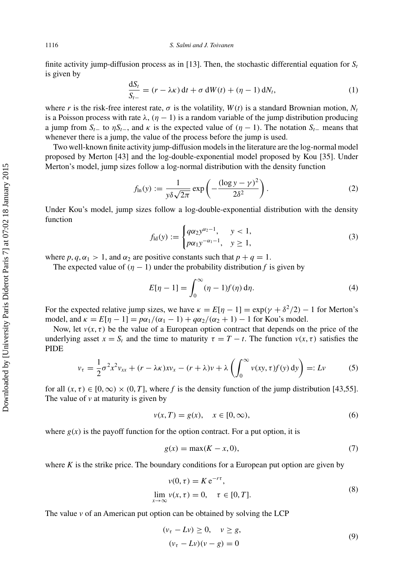<span id="page-6-0"></span>finite activity jump-diffusion process as in [\[13\]](#page-23-0). Then, the stochastic differential equation for  $S_t$ is given by

$$
\frac{dS_t}{S_{t-}} = (r - \lambda \kappa) dt + \sigma dW(t) + (\eta - 1) dN_t,
$$
\n(1)

where *r* is the risk-free interest rate,  $\sigma$  is the volatility,  $W(t)$  is a standard Brownian motion,  $N_t$ is a Poisson process with rate  $\lambda$ ,  $(\eta - 1)$  is a random variable of the jump distribution producing a jump from  $S_t$ − to  $\eta S_t$ −, and  $\kappa$  is the expected value of  $(\eta - 1)$ . The notation  $S_t$ − means that whenever there is a jump, the value of the process before the jump is used.

Two well-known finite activity jump-diffusion models in the literature are the log-normal model proposed by Merton [\[43](#page-24-0)] and the log-double-exponential model proposed by Kou [\[35\]](#page-24-0). Under Merton's model, jump sizes follow a log-normal distribution with the density function

$$
f_{\ln}(y) := \frac{1}{y\delta\sqrt{2\pi}} \exp\left(-\frac{(\log y - \gamma)^2}{2\delta^2}\right).
$$
 (2)

Under Kou's model, jump sizes follow a log-double-exponential distribution with the density function

$$
f_{\rm ld}(y) := \begin{cases} q\alpha_2 y^{\alpha_2 - 1}, & y < 1, \\ p\alpha_1 y^{-\alpha_1 - 1}, & y \ge 1, \end{cases}
$$
 (3)

where  $p, q, \alpha_1 > 1$ , and  $\alpha_2$  are positive constants such that  $p + q = 1$ .

The expected value of  $(\eta - 1)$  under the probability distribution f is given by

$$
E[\eta - 1] = \int_0^\infty (\eta - 1)f(\eta) d\eta.
$$
 (4)

For the expected relative jump sizes, we have  $\kappa = E[\eta - 1] = \exp(\gamma + \delta^2/2) - 1$  for Merton's model, and  $\kappa = E[\eta - 1] = p\alpha_1/(\alpha_1 - 1) + q\alpha_2/(\alpha_2 + 1) - 1$  for Kou's model.

Now, let  $v(x, \tau)$  be the value of a European option contract that depends on the price of the underlying asset  $x = S_t$  and the time to maturity  $\tau = T - t$ . The function  $v(x, \tau)$  satisfies the PIDE

$$
v_{\tau} = \frac{1}{2}\sigma^2 x^2 v_{xx} + (r - \lambda \kappa) x v_x - (r + \lambda) v + \lambda \left( \int_0^{\infty} v(xy, \tau) f(y) \, dy \right) =: Lv \tag{5}
$$

for all  $(x, \tau) \in [0, \infty) \times (0, T]$ , where f is the density function of the jump distribution [\[43,55](#page-24-0)]. The value of  $\nu$  at maturity is given by

$$
v(x,T) = g(x), \quad x \in [0,\infty), \tag{6}
$$

where  $g(x)$  is the payoff function for the option contract. For a put option, it is

$$
g(x) = \max(K - x, 0),\tag{7}
$$

where  $K$  is the strike price. The boundary conditions for a European put option are given by

$$
v(0, \tau) = K e^{-r\tau},
$$
  
\n
$$
\lim_{x \to \infty} v(x, \tau) = 0, \quad \tau \in [0, T].
$$
\n(8)

The value *v* of an American put option can be obtained by solving the LCP

$$
(vτ - Lv) \ge 0, v \ge g,(vτ - Lv)(v - g) = 0
$$
\n(9)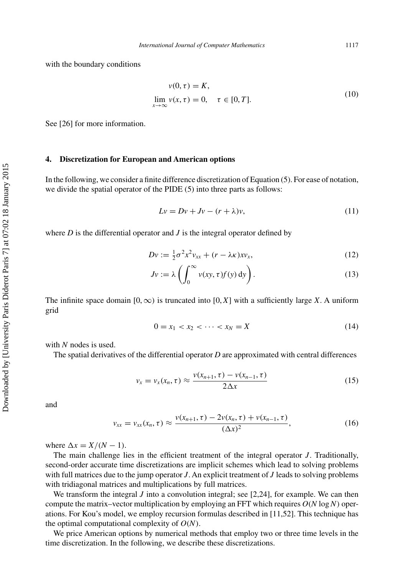with the boundary conditions

$$
v(0, \tau) = K,
$$
  
\n
$$
\lim_{x \to \infty} v(x, \tau) = 0, \quad \tau \in [0, T].
$$
\n(10)

See [\[26\]](#page-23-0) for more information.

#### **4. Discretization for European and American options**

In the following, we consider a finite difference discretization of Equation [\(5\)](#page-6-0). For ease of notation, we divide the spatial operator of the PIDE [\(5\)](#page-6-0) into three parts as follows:

$$
Lv = Dv + Jv - (r + \lambda)v,
$$
\n(11)

where *D* is the differential operator and *J* is the integral operator defined by

$$
Dv := \frac{1}{2}\sigma^2 x^2 v_{xx} + (r - \lambda \kappa) x v_x, \qquad (12)
$$

$$
Jv := \lambda \left( \int_0^\infty v(xy, \tau) f(y) \, dy \right). \tag{13}
$$

The infinite space domain  $[0, \infty)$  is truncated into  $[0, X]$  with a sufficiently large *X*. A uniform grid

$$
0 = x_1 < x_2 < \dots < x_N = X \tag{14}
$$

with *N* nodes is used.

The spatial derivatives of the differential operator *D* are approximated with central differences

$$
v_x = v_x(x_n, \tau) \approx \frac{v(x_{n+1}, \tau) - v(x_{n-1}, \tau)}{2\Delta x}
$$
 (15)

and

$$
v_{xx} = v_{xx}(x_n, \tau) \approx \frac{v(x_{n+1}, \tau) - 2v(x_n, \tau) + v(x_{n-1}, \tau)}{(\Delta x)^2},
$$
\n(16)

where  $\Delta x = X/(N - 1)$ .

The main challenge lies in the efficient treatment of the integral operator *J*. Traditionally, second-order accurate time discretizations are implicit schemes which lead to solving problems with full matrices due to the jump operator *J*. An explicit treatment of *J* leads to solving problems with tridiagonal matrices and multiplications by full matrices.

We transform the integral  $J$  into a convolution integral; see [\[2,24\]](#page-23-0), for example. We can then compute the matrix–vector multiplication by employing an FFT which requires  $O(N \log N)$  operations. For Kou's model, we employ recursion formulas described in [\[11](#page-23-0)[,52\]](#page-24-0). This technique has the optimal computational complexity of  $O(N)$ .

We price American options by numerical methods that employ two or three time levels in the time discretization. In the following, we describe these discretizations.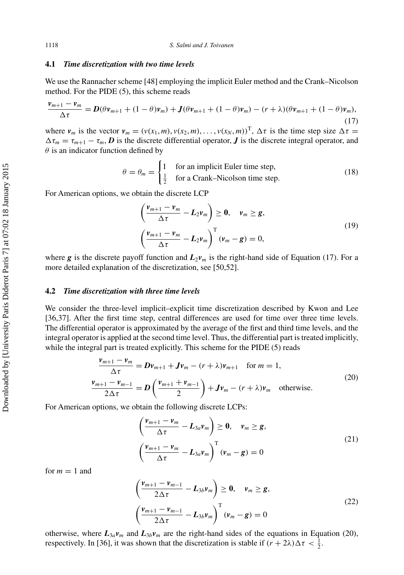#### <span id="page-8-0"></span>**4.1** *Time discretization with two time levels*

We use the Rannacher scheme [\[48](#page-24-0)] employing the implicit Euler method and the Crank–Nicolson method. For the PIDE [\(5\)](#page-6-0), this scheme reads

$$
\frac{\nu_{m+1} - \nu_m}{\Delta \tau} = D(\theta \nu_{m+1} + (1 - \theta) \nu_m) + J(\theta \nu_{m+1} + (1 - \theta) \nu_m) - (r + \lambda)(\theta \nu_{m+1} + (1 - \theta) \nu_m),
$$
\n(17)

where  $v_m$  is the vector  $v_m = (v(x_1, m), v(x_2, m), \dots, v(x_N, m))^T$ ,  $\Delta \tau$  is the time step size  $\Delta \tau =$  $\Delta \tau_m = \tau_{m+1} - \tau_m$ , *D* is the discrete differential operator, *J* is the discrete integral operator, and *θ* is an indicator function defined by

$$
\theta = \theta_m = \begin{cases} 1 & \text{for an implicit Euler time step,} \\ \frac{1}{2} & \text{for a Crank-Nicolson time step.} \end{cases}
$$
 (18)

For American options, we obtain the discrete LCP

$$
\left(\frac{\nu_{m+1} - \nu_m}{\Delta \tau} - L_2 \nu_m\right) \ge 0, \quad \nu_m \ge g,
$$
\n
$$
\left(\frac{\nu_{m+1} - \nu_m}{\Delta \tau} - L_2 \nu_m\right)^{\mathrm{T}} (\nu_m - g) = 0,
$$
\n(19)

where *g* is the discrete payoff function and  $L_2v_m$  is the right-hand side of Equation (17). For a more detailed explanation of the discretization, see [\[50,52](#page-24-0)].

#### **4.2** *Time discretization with three time levels*

We consider the three-level implicit–explicit time discretization described by Kwon and Lee [\[36,37](#page-24-0)]. After the first time step, central differences are used for time over three time levels. The differential operator is approximated by the average of the first and third time levels, and the integral operator is applied at the second time level. Thus, the differential part is treated implicitly, while the integral part is treated explicitly. This scheme for the PIDE [\(5\)](#page-6-0) reads

$$
\frac{\nu_{m+1} - \nu_m}{\Delta \tau} = D\nu_{m+1} + J\nu_m - (r + \lambda)\nu_{m+1} \quad \text{for } m = 1,
$$
  
\n
$$
\frac{\nu_{m+1} - \nu_{m-1}}{2\Delta \tau} = D\left(\frac{\nu_{m+1} + \nu_{m-1}}{2}\right) + J\nu_m - (r + \lambda)\nu_m \quad \text{otherwise.}
$$
\n(20)

For American options, we obtain the following discrete LCPs:

$$
\left(\frac{\nu_{m+1} - \nu_m}{\Delta \tau} - L_{3a}\nu_m\right) \ge 0, \quad \nu_m \ge g,
$$
\n
$$
\left(\frac{\nu_{m+1} - \nu_m}{\Delta \tau} - L_{3a}\nu_m\right)^T (\nu_m - g) = 0
$$
\n(21)

for  $m = 1$  and

$$
\left(\frac{\nu_{m+1} - \nu_{m-1}}{2\Delta\tau} - L_{3b}\nu_m\right) \ge 0, \quad \nu_m \ge g,
$$
\n
$$
\left(\frac{\nu_{m+1} - \nu_{m-1}}{2\Delta\tau} - L_{3b}\nu_m\right)^T (\nu_m - g) = 0
$$
\n(22)

otherwise, where  $L_{3a}v_m$  and  $L_{3b}v_m$  are the right-hand sides of the equations in Equation (20), respectively. In [\[36](#page-24-0)], it was shown that the discretization is stable if  $(r + 2\lambda)\Delta \tau < \frac{1}{2}$ .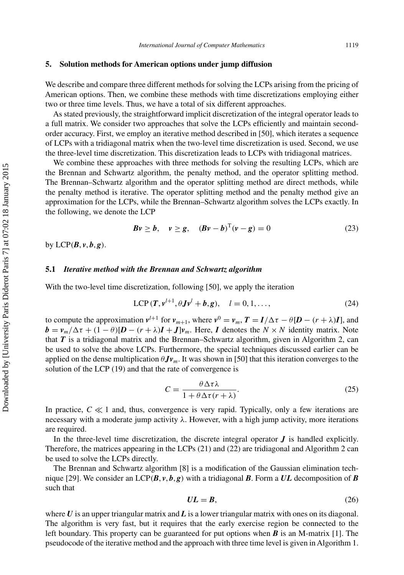## <span id="page-9-0"></span>**5. Solution methods for American options under jump diffusion**

We describe and compare three different methods for solving the LCPs arising from the pricing of American options. Then, we combine these methods with time discretizations employing either two or three time levels. Thus, we have a total of six different approaches.

As stated previously, the straightforward implicit discretization of the integral operator leads to a full matrix. We consider two approaches that solve the LCPs efficiently and maintain secondorder accuracy. First, we employ an iterative method described in [\[50](#page-24-0)], which iterates a sequence of LCPs with a tridiagonal matrix when the two-level time discretization is used. Second, we use the three-level time discretization. This discretization leads to LCPs with tridiagonal matrices.

We combine these approaches with three methods for solving the resulting LCPs, which are the Brennan and Schwartz algorithm, the penalty method, and the operator splitting method. The Brennan–Schwartz algorithm and the operator splitting method are direct methods, while the penalty method is iterative. The operator splitting method and the penalty method give an approximation for the LCPs, while the Brennan–Schwartz algorithm solves the LCPs exactly. In the following, we denote the LCP

$$
Bv \ge b, \quad v \ge g, \quad (Bv - b)^{T}(v - g) = 0 \tag{23}
$$

by  $LCP(B, v, b, g)$ .

#### **5.1** *Iterative method with the Brennan and Schwartz algorithm*

With the two-level time discretization, following [\[50\]](#page-24-0), we apply the iteration

$$
LCP(T, v^{l+1}, \theta Jv^l + b, g), \quad l = 0, 1, ..., \tag{24}
$$

to compute the approximation  $v^{l+1}$  for  $v_{m+1}$ , where  $v^0 = v_m$ ,  $T = I/\Delta \tau - \theta [D - (r + \lambda)I]$ , and  $\mathbf{b} = v_m/\Delta \tau + (1 - \theta)[\mathbf{D} - (r + \lambda)\mathbf{I} + \mathbf{J}]v_m$ . Here, *I* denotes the  $N \times N$  identity matrix. Note that *T* is a tridiagonal matrix and the Brennan–Schwartz algorithm, given in Algorithm 2, can be used to solve the above LCPs. Furthermore, the special techniques discussed earlier can be applied on the dense multiplication  $\theta Jv_m$ . It was shown in [\[50](#page-24-0)] that this iteration converges to the solution of the LCP [\(19\)](#page-8-0) and that the rate of convergence is

$$
C = \frac{\theta \Delta \tau \lambda}{1 + \theta \Delta \tau (r + \lambda)}.
$$
 (25)

In practice,  $C \ll 1$  and, thus, convergence is very rapid. Typically, only a few iterations are necessary with a moderate jump activity *λ*. However, with a high jump activity, more iterations are required.

In the three-level time discretization, the discrete integral operator *J* is handled explicitly. Therefore, the matrices appearing in the LCPs [\(21\)](#page-8-0) and [\(22\)](#page-8-0) are tridiagonal and Algorithm 2 can be used to solve the LCPs directly.

The Brennan and Schwartz algorithm [\[8\]](#page-23-0) is a modification of the Gaussian elimination tech-nique [\[29\]](#page-23-0). We consider an  $LCP(B, v, b, g)$  with a tridiagonal *B*. Form a UL decomposition of *B* such that

$$
UL = B,\tag{26}
$$

where *U* is an upper triangular matrix and *L* is a lower triangular matrix with ones on its diagonal. The algorithm is very fast, but it requires that the early exercise region be connected to the left boundary. This property can be guaranteed for put options when *B* is an M-matrix [\[1](#page-23-0)]. The pseudocode of the iterative method and the approach with three time level is given in Algorithm 1.

Downloaded by [University Paris Diderot Paris 7] at 07:02 18 January 2015 Downloaded by [University Paris Diderot Paris 7] at 07:02 18 January 2015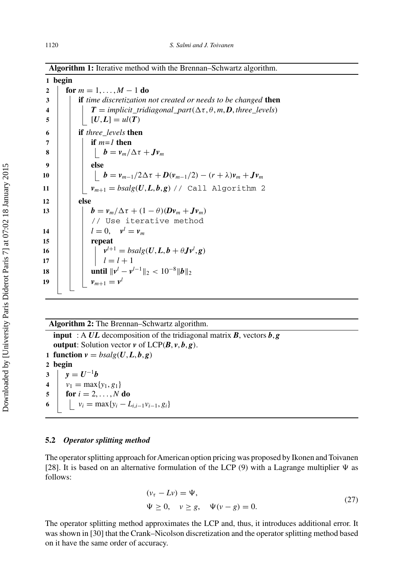**Algorithm 1:** Iterative method with the Brennan–Schwartz algorithm.

# **1 begin 2 for**  $m = 1, ..., M - 1$  **do 3 if** *time discretization not created or needs to be changed* **then 4**  $\vert$  *T* **=** *implicit\_tridiagonal\_part* $(\Delta \tau, \theta, m, \mathbf{D})$ **,** *three\_levels)*  $5 \mid |U, L] = ul(T)$ **6 if** *three\_levels* **then 7 if** *m=1* **then 8 b** =  $v_m/\Delta \tau + Jv_m$ **9 else** 10 **b** =  $v_{m-1}/2\Delta\tau$  +  $D(v_{m-1}/2) - (r + \lambda)v_m + Jv_m$ **11**  $\vert$  *v*<sub>*m*+1</sub> = *bsalg*(*U*, *L*, *b*, *g*) // Call Algorithm 2 **12 else** 13 **b** =  $v_m/\Delta \tau + (1 - \theta)(Dv_m + Jv_m)$ // Use iterative method **14**  $l = 0$ ,  $v^l = v_m$ **15 repeat 16**  $v^{l+1} = b \, \text{salg}(U, L, b + \theta J v^l, g)$ 17  $| \cdot | \cdot | \cdot l = l + 1$ **18**  $\|\cdot\|$  **until**  $\|\nu^l - \nu^{l-1}\|_2 < 10^{-8} \|\mathbf{b}\|_2$ 19  $v_{m+1} = v^l$

**Algorithm 2:** The Brennan–Schwartz algorithm.

**input** : A *UL* decomposition of the tridiagonal matrix *B*, vectors *b*, *g* **output**: Solution vector  $v$  of  $LCP(B, v, b, g)$ . **function**  $v = bsalg(U, L, b, g)$ **2 begin**  $y = U^{-1}b$   $v_1 = \max\{y_1, g_1\}$  **for**  $i = 2, ..., N$  **do**  $\vert \psi_i = \max\{y_i - L_{i,i-1}v_{i-1}, g_i\}$ 

## **5.2** *Operator splitting method*

The operator splitting approach forAmerican option pricing was proposed by Ikonen and Toivanen [\[28\]](#page-23-0). It is based on an alternative formulation of the LCP  $(9)$  with a Lagrange multiplier  $\Psi$  as follows:

$$
(\nu_{\tau} - Lv) = \Psi,
$$
  
\n
$$
\Psi \ge 0, \quad \nu \ge g, \quad \Psi(\nu - g) = 0.
$$
\n(27)

The operator splitting method approximates the LCP and, thus, it introduces additional error. It was shown in [\[30](#page-23-0)] that the Crank–Nicolson discretization and the operator splitting method based on it have the same order of accuracy.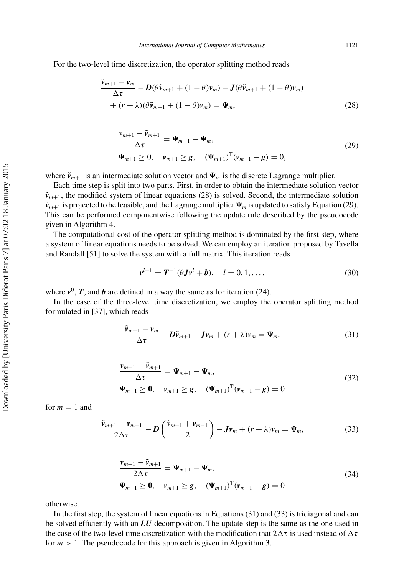<span id="page-11-0"></span>For the two-level time discretization, the operator splitting method reads

$$
\frac{\tilde{\mathbf{v}}_{m+1} - \mathbf{v}_m}{\Delta \tau} - \mathbf{D}(\theta \tilde{\mathbf{v}}_{m+1} + (1 - \theta)\mathbf{v}_m) - \mathbf{J}(\theta \tilde{\mathbf{v}}_{m+1} + (1 - \theta)\mathbf{v}_m) \n+ (r + \lambda)(\theta \tilde{\mathbf{v}}_{m+1} + (1 - \theta)\mathbf{v}_m) = \Psi_m,
$$
\n(28)

$$
\frac{\nu_{m+1} - \tilde{\nu}_{m+1}}{\Delta \tau} = \Psi_{m+1} - \Psi_m,
$$
\n
$$
\Psi_{m+1} \ge 0, \quad \nu_{m+1} \ge g, \quad (\Psi_{m+1})^{\mathrm{T}} (\nu_{m+1} - g) = 0,
$$
\n(29)

where  $\tilde{v}_{m+1}$  is an intermediate solution vector and  $\Psi_m$  is the discrete Lagrange multiplier.

Each time step is split into two parts. First, in order to obtain the intermediate solution vector  $\tilde{v}_{m+1}$ , the modified system of linear equations (28) is solved. Second, the intermediate solution  $\tilde{\mathbf{v}}_{m+1}$  is projected to be feasible, and the Lagrange multiplier  $\Psi_m$  is updated to satisfy Equation (29). This can be performed componentwise following the update rule described by the pseudocode given in Algorithm 4.

The computational cost of the operator splitting method is dominated by the first step, where a system of linear equations needs to be solved. We can employ an iteration proposed by Tavella and Randall [\[51](#page-24-0)] to solve the system with a full matrix. This iteration reads

$$
v^{l+1} = T^{-1}(\theta J v^l + b), \quad l = 0, 1, ..., \tag{30}
$$

where  $v^0$ ,  $\boldsymbol{T}$ , and  $\boldsymbol{b}$  are defined in a way the same as for iteration [\(24\)](#page-9-0).

In the case of the three-level time discretization, we employ the operator splitting method formulated in [\[37](#page-24-0)], which reads

$$
\frac{\tilde{\mathbf{v}}_{m+1} - \mathbf{v}_m}{\Delta \tau} - \mathbf{D} \tilde{\mathbf{v}}_{m+1} - \mathbf{J} \mathbf{v}_m + (r + \lambda) \mathbf{v}_m = \Psi_m,\tag{31}
$$

$$
\frac{\nu_{m+1} - \tilde{\nu}_{m+1}}{\Delta \tau} = \Psi_{m+1} - \Psi_m,
$$
  

$$
\Psi_{m+1} \ge 0, \quad \nu_{m+1} \ge g, \quad (\Psi_{m+1})^{\mathrm{T}} (\nu_{m+1} - g) = 0
$$
 (32)

for  $m = 1$  and

$$
\frac{\tilde{\mathbf{v}}_{m+1} - \mathbf{v}_{m-1}}{2\Delta\tau} - \mathbf{D}\left(\frac{\tilde{\mathbf{v}}_{m+1} + \mathbf{v}_{m-1}}{2}\right) - \mathbf{J}\mathbf{v}_m + (r + \lambda)\mathbf{v}_m = \Psi_m,\tag{33}
$$

$$
\frac{\mathbf{v}_{m+1} - \tilde{\mathbf{v}}_{m+1}}{2\Delta \tau} = \mathbf{\Psi}_{m+1} - \mathbf{\Psi}_m,
$$
  

$$
\mathbf{\Psi}_{m+1} \ge \mathbf{0}, \quad \mathbf{v}_{m+1} \ge \mathbf{g}, \quad (\mathbf{\Psi}_{m+1})^{\mathrm{T}} (\mathbf{v}_{m+1} - \mathbf{g}) = 0
$$
 (34)

otherwise.

In the first step, the system of linear equations in Equations (31) and (33) is tridiagonal and can be solved efficiently with an *LU* decomposition. The update step is the same as the one used in the case of the two-level time discretization with the modification that  $2\Delta\tau$  is used instead of  $\Delta\tau$ for  $m > 1$ . The pseudocode for this approach is given in Algorithm 3.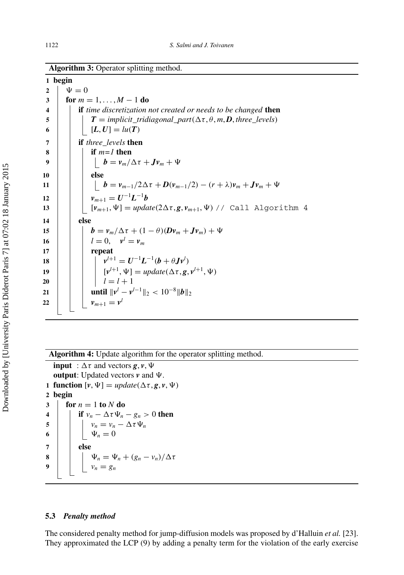**Algorithm 3:** Operator splitting method.

**1 begin 2**  $\psi = 0$  **for**  $m = 1, ..., M - 1$  **do if** *time discretization not created or needs to be changed* **then**  $\vert$  *T* **=** *implicit\_tridiagonal\_part***(** $\Delta \tau, \theta, m, D$ **,** *three\_levels***)**  $[L, U] = l u(T)$  **if** *three\_levels* **then if** *m=1* **then b** =  $v_m/\Delta \tau + Jv_m + \Psi$ **10 else b** =  $v_{m-1}/2\Delta\tau + D(v_{m-1}/2) - (r + \lambda)v_m + Jv_m + \Psi$ *v*<sub>*m*+1</sub> =  $U^{-1}L^{-1}b$   $[ \nu_{m+1}, \Psi ] = \text{update}(2\Delta \tau, g, \nu_{m+1}, \Psi)$  // Call Algorithm 4 **14 else b** =  $v_m/\Delta \tau + (1 - \theta)(Dv_m + Jv_m) + \Psi$  **|**  $l = 0$ ,  $v^l = v_m$ **17 repeat**  $\vert \ \ \vert \ \ \vert \ \ \psi^{l+1} = \bm{U}^{-1}\bm{L}^{-1}(\bm{b} + \theta \bm{J} \bm{\nu}^{l})$   $[\psi^{l+1}, \Psi] = update(\Delta \tau, g, \psi^{l+1}, \Psi)$  **l**  $l = l + 1$   $\|\cdot\|$  **until**  $\|\nu^l - \nu^{l-1}\|_2 < 10^{-8} \|\mathbf{b}\|_2$ **i i v**<sub>*m*+1</sub> =  $v^l$ 

**Algorithm 4:** Update algorithm for the operator splitting method.

**input** :  $\Delta \tau$  and vectors *g*, *v*,  $\Psi$ **output**: Updated vectors *v* and . **1** function  $[\nu, \Psi] = update(\Delta \tau, g, \nu, \Psi)$ **2 begin 3 for**  $n = 1$  **to**  $N$  **do 4 if**  $v_n - \Delta \tau \Psi_n - g_n > 0$  then **5**  $v_n = v_n - \Delta \tau \Psi_n$ 6 |  $\Psi_n = 0$ **7 else 8** |  $\downarrow \psi_n = \Psi_n + (g_n - v_n)/\Delta \tau$ **9**  $v_n = g_n$ 

## **5.3** *Penalty method*

The considered penalty method for jump-diffusion models was proposed by d'Halluin *et al.* [\[23](#page-23-0)]. They approximated the LCP [\(9\)](#page-6-0) by adding a penalty term for the violation of the early exercise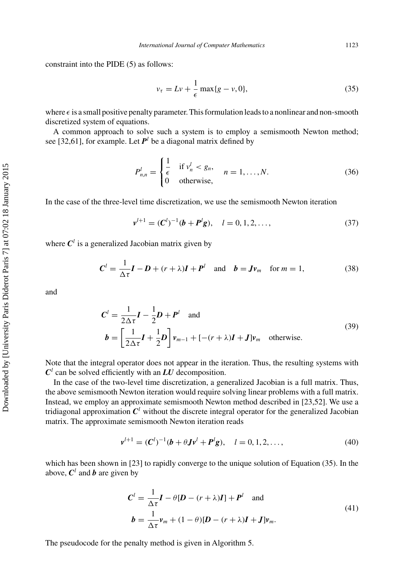<span id="page-13-0"></span>constraint into the PIDE [\(5\)](#page-6-0) as follows:

$$
v_{\tau} = Lv + \frac{1}{\epsilon} \max\{g - v, 0\},\tag{35}
$$

where  $\epsilon$  is a small positive penalty parameter. This formulation leads to a nonlinear and non-smooth discretized system of equations.

A common approach to solve such a system is to employ a semismooth Newton method; see [\[32,61\]](#page-24-0), for example. Let  $P^l$  be a diagonal matrix defined by

$$
P_{n,n}^l = \begin{cases} \frac{1}{\epsilon} & \text{if } v_n^l < g_n, \\ 0 & \text{otherwise,} \end{cases} \quad n = 1, \dots, N. \tag{36}
$$

In the case of the three-level time discretization, we use the semismooth Newton iteration

$$
v^{l+1} = (C^l)^{-1} (b + P^l g), \quad l = 0, 1, 2, \dots,
$$
\n(37)

where  $C^l$  is a generalized Jacobian matrix given by

$$
\mathbf{C}^l = \frac{1}{\Delta \tau} \mathbf{I} - \mathbf{D} + (r + \lambda)\mathbf{I} + \mathbf{P}^l \quad \text{and} \quad \mathbf{b} = \mathbf{J} \mathbf{v}_m \quad \text{for } m = 1,
$$
 (38)

and

$$
C^{l} = \frac{1}{2\Delta\tau}I - \frac{1}{2}D + P^{l} \text{ and}
$$
  
\n
$$
b = \left[\frac{1}{2\Delta\tau}I + \frac{1}{2}D\right]v_{m-1} + [-(r+\lambda)I + J]v_m \text{ otherwise.}
$$
\n(39)

Note that the integral operator does not appear in the iteration. Thus, the resulting systems with  $C^l$  can be solved efficiently with an *LU* decomposition.

In the case of the two-level time discretization, a generalized Jacobian is a full matrix. Thus, the above semismooth Newton iteration would require solving linear problems with a full matrix. Instead, we employ an approximate semismooth Newton method described in [\[23](#page-23-0)[,52](#page-24-0)]. We use a tridiagonal approximation  $C^l$  without the discrete integral operator for the generalized Jacobian matrix. The approximate semismooth Newton iteration reads

$$
\mathbf{v}^{l+1} = (\mathbf{C}^{l})^{-1}(\mathbf{b} + \theta \mathbf{J}\mathbf{v}^{l} + \mathbf{P}^{l}\mathbf{g}), \quad l = 0, 1, 2, ..., \tag{40}
$$

which has been shown in [\[23\]](#page-23-0) to rapidly converge to the unique solution of Equation (35). In the above,  $C^l$  and **b** are given by

$$
C^{l} = \frac{1}{\Delta \tau} \mathbf{I} - \theta [\mathbf{D} - (r + \lambda)\mathbf{I}] + \mathbf{P}^{l} \text{ and}
$$
  
\n
$$
\mathbf{b} = \frac{1}{\Delta \tau} \mathbf{v}_{m} + (1 - \theta) [\mathbf{D} - (r + \lambda)\mathbf{I} + \mathbf{J}] \mathbf{v}_{m}.
$$
\n(41)

The pseudocode for the penalty method is given in Algorithm 5.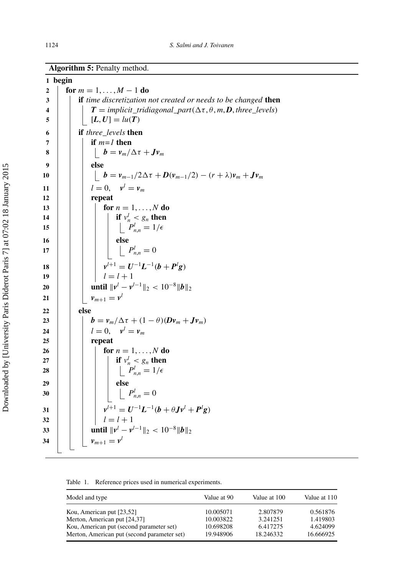<span id="page-14-0"></span>**Algorithm 5:** Penalty method.

|                  | 1 begin                                                                                                                       |
|------------------|-------------------------------------------------------------------------------------------------------------------------------|
| $\boldsymbol{2}$ | for $m = 1, , M - 1$ do                                                                                                       |
| 3                | if time discretization not created or needs to be changed then                                                                |
| 4                | $T = implicit\_tridiagonal\_part(\Delta \tau, \theta, m, D, three\_levels)$                                                   |
| 5                | $[L, U] = lu(T)$                                                                                                              |
| 6                | if three_levels then                                                                                                          |
| 7                | if $m=1$ then                                                                                                                 |
| 8                | $\bm{b} = \bm{\mathit{v}}_m / \Delta \tau + \bm{J} \bm{\mathit{v}}_m$                                                         |
| 9                | else                                                                                                                          |
| 10               | $\vert$ $\bm{b} = \bm{v}_{m-1}/2\Delta\tau + \bm{D}(\bm{v}_{m-1}/2) - (r+\lambda)\bm{v}_m + \bm{J}\bm{v}_m$                   |
| 11               | $l = 0, \quad v^l = v_m$                                                                                                      |
| 12               | repeat                                                                                                                        |
| 13               | for $n = 1, \ldots, N$ do                                                                                                     |
| 14               | if $v_n^l < g_n$ then                                                                                                         |
| 15               | $\left  \right ^{n} P_{n,n}^{l} = 1/\epsilon$                                                                                 |
| 16               | else                                                                                                                          |
| 17               | $\begin{bmatrix} P^l_{n,n}=0 \end{bmatrix}$                                                                                   |
| 18               | $v^{l+1} = U^{-1}L^{-1}(b + P^lg)$                                                                                            |
| 19               | $l = l + 1$                                                                                                                   |
| 20               | <b>until</b> $  v^{l} - v^{l-1}  _2 < 10^{-8}   b  _2$                                                                        |
| 21               | $v_{m+1} = v^{l}$                                                                                                             |
| 22               | else                                                                                                                          |
| 23               | $\boldsymbol{b} = \boldsymbol{v}_m/\Delta \tau + (1-\theta)(\boldsymbol{D}\boldsymbol{v}_m + \boldsymbol{J}\boldsymbol{v}_m)$ |
| 24               | $l=0, \quad v^l=v_m$                                                                                                          |
| 25               | repeat                                                                                                                        |
| 26               | for $n = 1, \ldots, N$ do                                                                                                     |
| 27               | if $v_n^l < g_n$ then                                                                                                         |
| 28               | $P_{n,n}^l=1/\epsilon$                                                                                                        |
| 29               | else                                                                                                                          |
| 30               | $P_{n,n}^l = 0$                                                                                                               |
| 31               | $v^{l+1} = U^{-1}L^{-1}(b + \theta Jv^{l} + P^{l}g)$                                                                          |
| 32               | $l = l + 1$                                                                                                                   |
| 33               | <b>until</b> $  v^l - v^{l-1}  _2 < 10^{-8}   b  _2$                                                                          |
| 34               | $v_{m+1} = v^l$                                                                                                               |
|                  |                                                                                                                               |

Table 1. Reference prices used in numerical experiments.

| Model and type                                                                          | Value at 90            | Value at 100          | Value at 110          |
|-----------------------------------------------------------------------------------------|------------------------|-----------------------|-----------------------|
| Kou, American put [23,52]                                                               | 10.005071              | 2.807879              | 0.561876              |
| Merton, American put [24,37]                                                            | 10.003822              | 3.241251              | 1.419803              |
| Kou, American put (second parameter set)<br>Merton, American put (second parameter set) | 10.698208<br>19.948906 | 6.417275<br>18.246332 | 4.624099<br>16.666925 |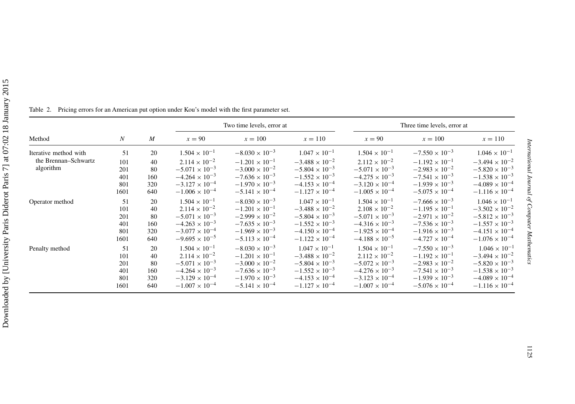<span id="page-15-0"></span>

|                       |                  |                  |                         | Two time levels, error at |                         | Three time levels, error at |                         |                         |  |
|-----------------------|------------------|------------------|-------------------------|---------------------------|-------------------------|-----------------------------|-------------------------|-------------------------|--|
| Method                | $\boldsymbol{N}$ | $\boldsymbol{M}$ | $x = 90$                | $x = 100$                 | $x = 110$               | $x=90$                      | $x = 100$               | $x = 110$               |  |
| Iterative method with | 51               | 20               | $1.504 \times 10^{-1}$  | $-8.030 \times 10^{-3}$   | $1.047 \times 10^{-1}$  | $1.504 \times 10^{-1}$      | $-7.550 \times 10^{-3}$ | $1.046 \times 10^{-1}$  |  |
| the Brennan-Schwartz  | 101              | 40               | $2.114 \times 10^{-2}$  | $-1.201 \times 10^{-1}$   | $-3.488 \times 10^{-2}$ | $2.112 \times 10^{-2}$      | $-1.192 \times 10^{-1}$ | $-3.494 \times 10^{-2}$ |  |
| algorithm             | 201              | 80               | $-5.071 \times 10^{-3}$ | $-3.000 \times 10^{-2}$   | $-5.804 \times 10^{-3}$ | $-5.071 \times 10^{-3}$     | $-2.983 \times 10^{-2}$ | $-5.820 \times 10^{-3}$ |  |
|                       | 401              | 160              | $-4.264 \times 10^{-3}$ | $-7.636 \times 10^{-3}$   | $-1.552 \times 10^{-3}$ | $-4.275 \times 10^{-3}$     | $-7.541 \times 10^{-3}$ | $-1.538 \times 10^{-3}$ |  |
|                       | 801              | 320              | $-3.127 \times 10^{-4}$ | $-1.970 \times 10^{-3}$   | $-4.153 \times 10^{-4}$ | $-3.120 \times 10^{-4}$     | $-1.939 \times 10^{-3}$ | $-4.089 \times 10^{-4}$ |  |
|                       | 1601             | 640              | $-1.006 \times 10^{-4}$ | $-5.141 \times 10^{-4}$   | $-1.127 \times 10^{-4}$ | $-1.005 \times 10^{-4}$     | $-5.075 \times 10^{-4}$ | $-1.116 \times 10^{-4}$ |  |
| Operator method       | 51               | 20               | $1.504 \times 10^{-1}$  | $-8.030 \times 10^{-3}$   | $1.047 \times 10^{-1}$  | $1.504 \times 10^{-1}$      | $-7.666 \times 10^{-3}$ | $1.046 \times 10^{-1}$  |  |
|                       | 101              | 40               | $2.114 \times 10^{-2}$  | $-1.201 \times 10^{-1}$   | $-3.488 \times 10^{-2}$ | $2.108 \times 10^{-2}$      | $-1.195 \times 10^{-1}$ | $-3.502 \times 10^{-2}$ |  |
|                       | 201              | 80               | $-5.071 \times 10^{-3}$ | $-2.999 \times 10^{-2}$   | $-5.804 \times 10^{-3}$ | $-5.071 \times 10^{-3}$     | $-2.971 \times 10^{-2}$ | $-5.812 \times 10^{-3}$ |  |
|                       | 401              | 160              | $-4.263 \times 10^{-3}$ | $-7.635 \times 10^{-3}$   | $-1.552 \times 10^{-3}$ | $-4.316 \times 10^{-3}$     | $-7.536 \times 10^{-3}$ | $-1.557 \times 10^{-3}$ |  |
|                       | 801              | 320              | $-3.077 \times 10^{-4}$ | $-1.969 \times 10^{-3}$   | $-4.150 \times 10^{-4}$ | $-1.925 \times 10^{-4}$     | $-1.916 \times 10^{-3}$ | $-4.151 \times 10^{-4}$ |  |
|                       | 1601             | 640              | $-9.695 \times 10^{-5}$ | $-5.113 \times 10^{-4}$   | $-1.122 \times 10^{-4}$ | $-4.188 \times 10^{-5}$     | $-4.727 \times 10^{-4}$ | $-1.076 \times 10^{-4}$ |  |
| Penalty method        | 51               | 20               | $1.504 \times 10^{-1}$  | $-8.030 \times 10^{-3}$   | $1.047 \times 10^{-1}$  | $1.504\times10^{-1}$        | $-7.550 \times 10^{-3}$ | $1.046 \times 10^{-1}$  |  |
|                       | 101              | 40               | $2.114 \times 10^{-2}$  | $-1.201 \times 10^{-1}$   | $-3.488 \times 10^{-2}$ | $2.112 \times 10^{-2}$      | $-1.192 \times 10^{-1}$ | $-3.494 \times 10^{-2}$ |  |
|                       | 201              | 80               | $-5.071 \times 10^{-3}$ | $-3.000 \times 10^{-2}$   | $-5.804 \times 10^{-3}$ | $-5.072 \times 10^{-3}$     | $-2.983 \times 10^{-2}$ | $-5.820 \times 10^{-3}$ |  |
|                       | 401              | 160              | $-4.264 \times 10^{-3}$ | $-7.636 \times 10^{-3}$   | $-1.552 \times 10^{-3}$ | $-4.276 \times 10^{-3}$     | $-7.541 \times 10^{-3}$ | $-1.538 \times 10^{-3}$ |  |
|                       | 801              | 320              | $-3.129 \times 10^{-4}$ | $-1.970 \times 10^{-3}$   | $-4.153 \times 10^{-4}$ | $-3.123 \times 10^{-4}$     | $-1.939 \times 10^{-3}$ | $-4.089 \times 10^{-4}$ |  |
|                       | 1601             | 640              | $-1.007 \times 10^{-4}$ | $-5.141 \times 10^{-4}$   | $-1.127 \times 10^{-4}$ | $-1.007 \times 10^{-4}$     | $-5.076 \times 10^{-4}$ | $-1.116 \times 10^{-4}$ |  |

Table 2. Pricing errors for an American pu<sup>t</sup> option under Kou's model with the first parameter set.

 $1.046\times10^{-1}$ 

 $-1.538 \times 10^{-3}$ 

 $-4.089 \times 10^{-4}$ 

 $-1.116 \times 10^{-4}$ 

 $1.046 \times 10^{-1}$ <br>-3.502 × 10<sup>-2</sup>.

 $-5.812 \times 10^{-3}$ 

 $-1.557 \times 10^{-3}$ 

 $1.046 \times 10^{-1}$ <br>-3.494 × 10<sup>-2</sup>.

 $-5.820 \times 10^{-3}$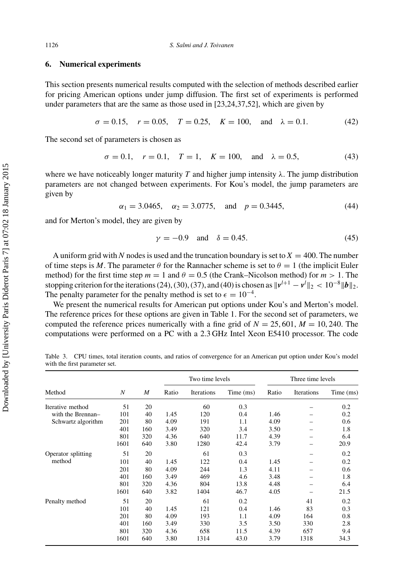### <span id="page-16-0"></span>**6. Numerical experiments**

This section presents numerical results computed with the selection of methods described earlier for pricing American options under jump diffusion. The first set of experiments is performed under parameters that are the same as those used in [\[23,24](#page-23-0)[,37,52](#page-24-0)], which are given by

$$
\sigma = 0.15
$$
,  $r = 0.05$ ,  $T = 0.25$ ,  $K = 100$ , and  $\lambda = 0.1$ . (42)

The second set of parameters is chosen as

$$
\sigma = 0.1, \quad r = 0.1, \quad T = 1, \quad K = 100, \quad \text{and} \quad \lambda = 0.5,\tag{43}
$$

where we have noticeably longer maturity *T* and higher jump intensity  $\lambda$ . The jump distribution parameters are not changed between experiments. For Kou's model, the jump parameters are given by

$$
\alpha_1 = 3.0465
$$
,  $\alpha_2 = 3.0775$ , and  $p = 0.3445$ , (44)

and for Merton's model, they are given by

$$
\gamma = -0.9 \quad \text{and} \quad \delta = 0.45. \tag{45}
$$

A uniform grid with N nodes is used and the truncation boundary is set to  $X = 400$ . The number of time steps is *M*. The parameter  $\theta$  for the Rannacher scheme is set to  $\theta = 1$  (the implicit Euler method) for the first time step  $m = 1$  and  $\theta = 0.5$  (the Crank–Nicolson method) for  $m > 1$ . The stopping criterion for the iterations [\(24\)](#page-9-0), [\(30\)](#page-11-0), [\(37\)](#page-13-0), and [\(40\)](#page-13-0) is chosen as  $||v^{l+1} - v^{l}||_2 < 10^{-8}||b||_2$ . The penalty parameter for the penalty method is set to  $\epsilon = 10^{-4}$ .

We present the numerical results for American put options under Kou's and Merton's model. The reference prices for these options are given in Table [1.](#page-14-0) For the second set of parameters, we computed the reference prices numerically with a fine grid of  $N = 25,601, M = 10,240$ . The computations were performed on a PC with a 2.3 GHz Intel Xeon E5410 processor. The code

Table 3. CPU times, total iteration counts, and ratios of convergence for an American put option under Kou's model with the first parameter set.

|                    |      |     |       | Two time levels |           |       | Three time levels |           |  |  |
|--------------------|------|-----|-------|-----------------|-----------|-------|-------------------|-----------|--|--|
| Method             | N    | M   | Ratio | Iterations      | Time (ms) | Ratio | Iterations        | Time (ms) |  |  |
| Iterative method   | 51   | 20  |       | 60              | 0.3       |       |                   | 0.2       |  |  |
| with the Brennan-  | 101  | 40  | 1.45  | 120             | 0.4       | 1.46  |                   | 0.2       |  |  |
| Schwartz algorithm | 201  | 80  | 4.09  | 191             | 1.1       | 4.09  |                   | 0.6       |  |  |
|                    | 401  | 160 | 3.49  | 320             | 3.4       | 3.50  |                   | 1.8       |  |  |
|                    | 801  | 320 | 4.36  | 640             | 11.7      | 4.39  |                   | 6.4       |  |  |
|                    | 1601 | 640 | 3.80  | 1280            | 42.4      | 3.79  |                   | 20.9      |  |  |
| Operator splitting | 51   | 20  |       | 61              | 0.3       |       |                   | 0.2       |  |  |
| method             | 101  | 40  | 1.45  | 122             | 0.4       | 1.45  |                   | 0.2       |  |  |
|                    | 201  | 80  | 4.09  | 244             | 1.3       | 4.11  |                   | 0.6       |  |  |
|                    | 401  | 160 | 3.49  | 469             | 4.6       | 3.48  |                   | 1.8       |  |  |
|                    | 801  | 320 | 4.36  | 804             | 13.8      | 4.48  |                   | 6.4       |  |  |
|                    | 1601 | 640 | 3.82  | 1404            | 46.7      | 4.05  |                   | 21.5      |  |  |
| Penalty method     | 51   | 20  |       | 61              | 0.2       |       | 41                | 0.2       |  |  |
|                    | 101  | 40  | 1.45  | 121             | 0.4       | 1.46  | 83                | 0.3       |  |  |
|                    | 201  | 80  | 4.09  | 193             | 1.1       | 4.09  | 164               | 0.8       |  |  |
|                    | 401  | 160 | 3.49  | 330             | 3.5       | 3.50  | 330               | 2.8       |  |  |
|                    | 801  | 320 | 4.36  | 658             | 11.5      | 4.39  | 657               | 9.4       |  |  |
|                    | 1601 | 640 | 3.80  | 1314            | 43.0      | 3.79  | 1318              | 34.3      |  |  |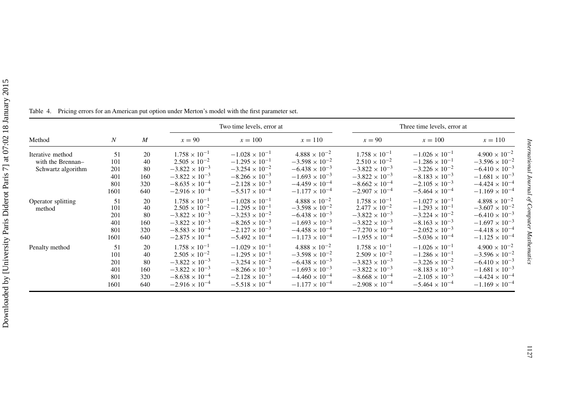|                    |                  |     |                         | Two time levels, error at |                         |                         | Three time levels, error at |                         |
|--------------------|------------------|-----|-------------------------|---------------------------|-------------------------|-------------------------|-----------------------------|-------------------------|
| Method             | $\boldsymbol{N}$ | M   | $x = 90$                | $x = 100$                 | $x = 110$               | $x=90$                  | $x = 100$                   | $x = 110$               |
| Iterative method   | 51               | 20  | $1.758 \times 10^{-1}$  | $-1.028 \times 10^{-1}$   | $4.888 \times 10^{-2}$  | $1.758 \times 10^{-1}$  | $-1.026 \times 10^{-1}$     | $4.900 \times 10^{-2}$  |
| with the Brennan-  | 101              | 40  | $2.505 \times 10^{-2}$  | $-1.295 \times 10^{-1}$   | $-3.598 \times 10^{-2}$ | $2.510 \times 10^{-2}$  | $-1.286 \times 10^{-1}$     | $-3.596 \times 10^{-2}$ |
| Schwartz algorithm | 201              | 80  | $-3.822 \times 10^{-3}$ | $-3.254 \times 10^{-2}$   | $-6.438 \times 10^{-3}$ | $-3.822 \times 10^{-3}$ | $-3.226 \times 10^{-2}$     | $-6.410 \times 10^{-3}$ |
|                    | 401              | 160 | $-3.822 \times 10^{-3}$ | $-8.266 \times 10^{-3}$   | $-1.693 \times 10^{-3}$ | $-3.822 \times 10^{-3}$ | $-8.183 \times 10^{-3}$     | $-1.681 \times 10^{-3}$ |
|                    | 801              | 320 | $-8.635 \times 10^{-4}$ | $-2.128 \times 10^{-3}$   | $-4.459 \times 10^{-4}$ | $-8.662 \times 10^{-4}$ | $-2.105 \times 10^{-3}$     | $-4.424 \times 10^{-4}$ |
|                    | 1601             | 640 | $-2.916 \times 10^{-4}$ | $-5.517 \times 10^{-4}$   | $-1.177 \times 10^{-4}$ | $-2.907 \times 10^{-4}$ | $-5.464 \times 10^{-4}$     | $-1.169 \times 10^{-4}$ |
| Operator splitting | 51               | 20  | $1.758 \times 10^{-1}$  | $-1.028 \times 10^{-1}$   | $4.888 \times 10^{-2}$  | $1.758 \times 10^{-1}$  | $-1.027 \times 10^{-1}$     | $4.898 \times 10^{-2}$  |
| method             | 101              | 40  | $2.505 \times 10^{-2}$  | $-1.295 \times 10^{-1}$   | $-3.598 \times 10^{-2}$ | $2.477 \times 10^{-2}$  | $-1.293 \times 10^{-1}$     | $-3.607 \times 10^{-2}$ |
|                    | 201              | 80  | $-3.822 \times 10^{-3}$ | $-3.253 \times 10^{-2}$   | $-6.438 \times 10^{-3}$ | $-3.822 \times 10^{-3}$ | $-3.224 \times 10^{-2}$     | $-6.410 \times 10^{-3}$ |
|                    | 401              | 160 | $-3.822 \times 10^{-3}$ | $-8.265 \times 10^{-3}$   | $-1.693 \times 10^{-3}$ | $-3.822 \times 10^{-3}$ | $-8.163 \times 10^{-3}$     | $-1.697 \times 10^{-3}$ |
|                    | 801              | 320 | $-8.583 \times 10^{-4}$ | $-2.127 \times 10^{-3}$   | $-4.458 \times 10^{-4}$ | $-7.270 \times 10^{-4}$ | $-2.052 \times 10^{-3}$     | $-4.418 \times 10^{-4}$ |
|                    | 1601             | 640 | $-2.875 \times 10^{-4}$ | $-5.492 \times 10^{-4}$   | $-1.173 \times 10^{-4}$ | $-1.955 \times 10^{-4}$ | $-5.036 \times 10^{-4}$     | $-1.125 \times 10^{-4}$ |
| Penalty method     | 51               | 20  | $1.758 \times 10^{-1}$  | $-1.029 \times 10^{-1}$   | $4.888 \times 10^{-2}$  | $1.758 \times 10^{-1}$  | $-1.026 \times 10^{-1}$     | $4.900 \times 10^{-2}$  |
|                    | 101              | 40  | $2.505 \times 10^{-2}$  | $-1.295 \times 10^{-1}$   | $-3.598 \times 10^{-2}$ | $2.509 \times 10^{-2}$  | $-1.286 \times 10^{-1}$     | $-3.596 \times 10^{-2}$ |
|                    | 201              | 80  | $-3.822 \times 10^{-3}$ | $-3.254 \times 10^{-2}$   | $-6.438 \times 10^{-3}$ | $-3.823 \times 10^{-3}$ | $-3.226 \times 10^{-2}$     | $-6.410 \times 10^{-3}$ |
|                    | 401              | 160 | $-3.822 \times 10^{-3}$ | $-8.266 \times 10^{-3}$   | $-1.693 \times 10^{-3}$ | $-3.822 \times 10^{-3}$ | $-8.183 \times 10^{-3}$     | $-1.681 \times 10^{-3}$ |
|                    | 801              | 320 | $-8.638 \times 10^{-4}$ | $-2.128 \times 10^{-3}$   | $-4.460 \times 10^{-4}$ | $-8.668 \times 10^{-4}$ | $-2.105 \times 10^{-3}$     | $-4.424 \times 10^{-4}$ |
|                    | 1601             | 640 | $-2.916 \times 10^{-4}$ | $-5.518 \times 10^{-4}$   | $-1.177 \times 10^{-4}$ | $-2.908 \times 10^{-4}$ | $-5.464 \times 10^{-4}$     | $-1.169 \times 10^{-4}$ |

<span id="page-17-0"></span>Table 4. Pricing errors for an American pu<sup>t</sup> option under Merton's model with the first parameter set.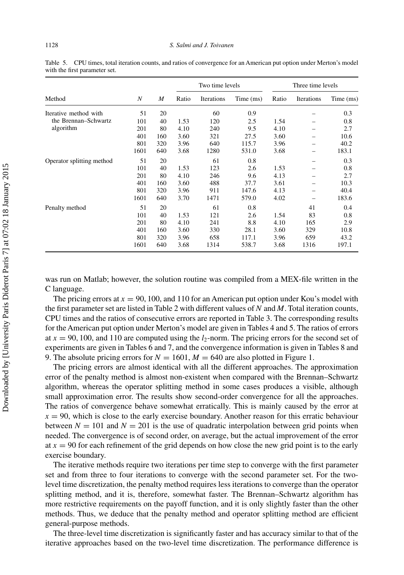|                           |      | M   |       | Two time levels |           | Three time levels |            |           |
|---------------------------|------|-----|-------|-----------------|-----------|-------------------|------------|-----------|
| Method                    | N    |     | Ratio | Iterations      | Time (ms) | Ratio             | Iterations | Time (ms) |
| Iterative method with     | 51   | 20  |       | 60              | 0.9       |                   |            | 0.3       |
| the Brennan-Schwartz      | 101  | 40  | 1.53  | 120             | 2.5       | 1.54              |            | 0.8       |
| algorithm                 | 201  | 80  | 4.10  | 240             | 9.5       | 4.10              |            | 2.7       |
|                           | 401  | 160 | 3.60  | 321             | 27.5      | 3.60              |            | 10.6      |
|                           | 801  | 320 | 3.96  | 640             | 115.7     | 3.96              |            | 40.2      |
|                           | 1601 | 640 | 3.68  | 1280            | 531.0     | 3.68              |            | 183.1     |
| Operator splitting method | 51   | 20  |       | 61              | 0.8       |                   |            | 0.3       |
|                           | 101  | 40  | 1.53  | 123             | 2.6       | 1.53              |            | 0.8       |
|                           | 201  | 80  | 4.10  | 246             | 9.6       | 4.13              |            | 2.7       |
|                           | 401  | 160 | 3.60  | 488             | 37.7      | 3.61              |            | 10.3      |
|                           | 801  | 320 | 3.96  | 911             | 147.6     | 4.13              |            | 40.4      |
|                           | 1601 | 640 | 3.70  | 1471            | 579.0     | 4.02              |            | 183.6     |
| Penalty method            | 51   | 20  |       | 61              | 0.8       |                   | 41         | 0.4       |
|                           | 101  | 40  | 1.53  | 121             | 2.6       | 1.54              | 83         | 0.8       |
|                           | 201  | 80  | 4.10  | 241             | 8.8       | 4.10              | 165        | 2.9       |
|                           | 401  | 160 | 3.60  | 330             | 28.1      | 3.60              | 329        | 10.8      |
|                           | 801  | 320 | 3.96  | 658             | 117.1     | 3.96              | 659        | 43.2      |
|                           | 1601 | 640 | 3.68  | 1314            | 538.7     | 3.68              | 1316       | 197.1     |

Table 5. CPU times, total iteration counts, and ratios of convergence for an American put option under Merton's model with the first parameter set.

was run on Matlab; however, the solution routine was compiled from a MEX-file written in the C language.

The pricing errors at  $x = 90, 100$ , and 110 for an American put option under Kou's model with the first parameter set are listed in Table [2](#page-15-0) with different values of *N* and *M*. Total iteration counts, CPU times and the ratios of consecutive errors are reported in Table [3.](#page-16-0) The corresponding results for the American put option under Merton's model are given in Tables [4](#page-17-0) and 5. The ratios of errors at  $x = 90$ , 100, and 110 are computed using the  $l_2$ -norm. The pricing errors for the second set of experiments are given in Tables [6](#page-19-0) and [7,](#page-20-0) and the convergence information is given in Tables [8](#page-21-0) and [9.](#page-21-0) The absolute pricing errors for  $N = 1601$ ,  $M = 640$  are also plotted in Figure [1.](#page-22-0)

The pricing errors are almost identical with all the different approaches. The approximation error of the penalty method is almost non-existent when compared with the Brennan–Schwartz algorithm, whereas the operator splitting method in some cases produces a visible, although small approximation error. The results show second-order convergence for all the approaches. The ratios of convergence behave somewhat erratically. This is mainly caused by the error at  $x = 90$ , which is close to the early exercise boundary. Another reason for this erratic behaviour between  $N = 101$  and  $N = 201$  is the use of quadratic interpolation between grid points when needed. The convergence is of second order, on average, but the actual improvement of the error at  $x = 90$  for each refinement of the grid depends on how close the new grid point is to the early exercise boundary.

The iterative methods require two iterations per time step to converge with the first parameter set and from three to four iterations to converge with the second parameter set. For the twolevel time discretization, the penalty method requires less iterations to converge than the operator splitting method, and it is, therefore, somewhat faster. The Brennan–Schwartz algorithm has more restrictive requirements on the payoff function, and it is only slightly faster than the other methods. Thus, we deduce that the penalty method and operator splitting method are efficient general-purpose methods.

The three-level time discretization is significantly faster and has accuracy similar to that of the iterative approaches based on the two-level time discretization. The performance difference is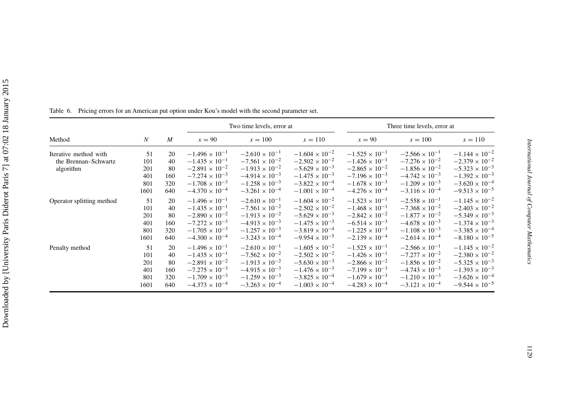<span id="page-19-0"></span>

|                           |                  |     |                         | Two time levels, error at |                         | Three time levels, error at |                         |                         |  |
|---------------------------|------------------|-----|-------------------------|---------------------------|-------------------------|-----------------------------|-------------------------|-------------------------|--|
| Method                    | $\boldsymbol{N}$ | M   | $x = 90$                | $x = 100$                 | $x = 110$               | $x = 90$                    | $x = 100$               | $x = 110$               |  |
| Iterative method with     | 51               | 20  | $-1.496 \times 10^{-1}$ | $-2.610 \times 10^{-1}$   | $-1.604 \times 10^{-2}$ | $-1.525 \times 10^{-1}$     | $-2.566 \times 10^{-1}$ | $-1.144 \times 10^{-2}$ |  |
| the Brennan-Schwartz      | 101              | 40  | $-1.435 \times 10^{-1}$ | $-7.561 \times 10^{-2}$   | $-2.502 \times 10^{-2}$ | $-1.426 \times 10^{-1}$     | $-7.276 \times 10^{-2}$ | $-2.379 \times 10^{-2}$ |  |
| algorithm                 | 201              | 80  | $-2.891 \times 10^{-2}$ | $-1.913 \times 10^{-2}$   | $-5.629 \times 10^{-3}$ | $-2.865 \times 10^{-2}$     | $-1.856 \times 10^{-2}$ | $-5.323 \times 10^{-3}$ |  |
|                           | 401              | 160 | $-7.274 \times 10^{-3}$ | $-4.914 \times 10^{-3}$   | $-1.475 \times 10^{-3}$ | $-7.196 \times 10^{-3}$     | $-4.742 \times 10^{-3}$ | $-1.392 \times 10^{-3}$ |  |
|                           | 801              | 320 | $-1.708 \times 10^{-3}$ | $-1.258 \times 10^{-3}$   | $-3.822 \times 10^{-4}$ | $-1.678 \times 10^{-3}$     | $-1.209 \times 10^{-3}$ | $-3.620 \times 10^{-4}$ |  |
|                           | 1601             | 640 | $-4.370 \times 10^{-4}$ | $-3.261 \times 10^{-4}$   | $-1.001 \times 10^{-4}$ | $-4.276 \times 10^{-4}$     | $-3.116 \times 10^{-4}$ | $-9.513 \times 10^{-5}$ |  |
| Operator splitting method | 51               | 20  | $-1.496 \times 10^{-1}$ | $-2.610 \times 10^{-1}$   | $-1.604 \times 10^{-2}$ | $-1.523 \times 10^{-1}$     | $-2.558 \times 10^{-1}$ | $-1.145 \times 10^{-2}$ |  |
|                           | 101              | 40  | $-1.435 \times 10^{-1}$ | $-7.561 \times 10^{-2}$   | $-2.502 \times 10^{-2}$ | $-1.468 \times 10^{-1}$     | $-7.368 \times 10^{-2}$ | $-2.403 \times 10^{-2}$ |  |
|                           | 201              | 80  | $-2.890 \times 10^{-2}$ | $-1.913 \times 10^{-2}$   | $-5.629 \times 10^{-3}$ | $-2.842 \times 10^{-2}$     | $-1.877 \times 10^{-2}$ | $-5.349 \times 10^{-3}$ |  |
|                           | 401              | 160 | $-7.272 \times 10^{-3}$ | $-4.913 \times 10^{-3}$   | $-1.475 \times 10^{-3}$ | $-6.514 \times 10^{-3}$     | $-4.678 \times 10^{-3}$ | $-1.374 \times 10^{-3}$ |  |
|                           | 801              | 320 | $-1.705 \times 10^{-3}$ | $-1.257 \times 10^{-3}$   | $-3.819 \times 10^{-4}$ | $-1.225 \times 10^{-3}$     | $-1.108 \times 10^{-3}$ | $-3.385 \times 10^{-4}$ |  |
|                           | 1601             | 640 | $-4.300 \times 10^{-4}$ | $-3.243 \times 10^{-4}$   | $-9.954 \times 10^{-5}$ | $-2.139 \times 10^{-4}$     | $-2.614 \times 10^{-4}$ | $-8.180 \times 10^{-5}$ |  |
| Penalty method            | 51               | 20  | $-1.496 \times 10^{-1}$ | $-2.610 \times 10^{-1}$   | $-1.605 \times 10^{-2}$ | $-1.525 \times 10^{-1}$     | $-2.566 \times 10^{-1}$ | $-1.145 \times 10^{-2}$ |  |
|                           | 101              | 40  | $-1.435 \times 10^{-1}$ | $-7.562 \times 10^{-2}$   | $-2.502 \times 10^{-2}$ | $-1.426 \times 10^{-1}$     | $-7.277 \times 10^{-2}$ | $-2.380 \times 10^{-2}$ |  |
|                           | 201              | 80  | $-2.891 \times 10^{-2}$ | $-1.913 \times 10^{-2}$   | $-5.630 \times 10^{-3}$ | $-2.866 \times 10^{-2}$     | $-1.856 \times 10^{-2}$ | $-5.325 \times 10^{-3}$ |  |
|                           | 401              | 160 | $-7.275 \times 10^{-3}$ | $-4.915 \times 10^{-3}$   | $-1.476 \times 10^{-3}$ | $-7.199 \times 10^{-3}$     | $-4.743 \times 10^{-3}$ | $-1.393 \times 10^{-3}$ |  |
|                           | 801              | 320 | $-1.709 \times 10^{-3}$ | $-1.259 \times 10^{-3}$   | $-3.825 \times 10^{-4}$ | $-1.679 \times 10^{-3}$     | $-1.210 \times 10^{-3}$ | $-3.626 \times 10^{-4}$ |  |
|                           | 1601             | 640 | $-4.373 \times 10^{-4}$ | $-3.263 \times 10^{-4}$   | $-1.003 \times 10^{-4}$ | $-4.283 \times 10^{-4}$     | $-3.121 \times 10^{-4}$ | $-9.544 \times 10^{-5}$ |  |

Table 6. Pricing errors for an American pu<sup>t</sup> option under Kou's model with the second parameter set.

*International Journal of Computer Mathematics*

International Journal of Computer Mathematics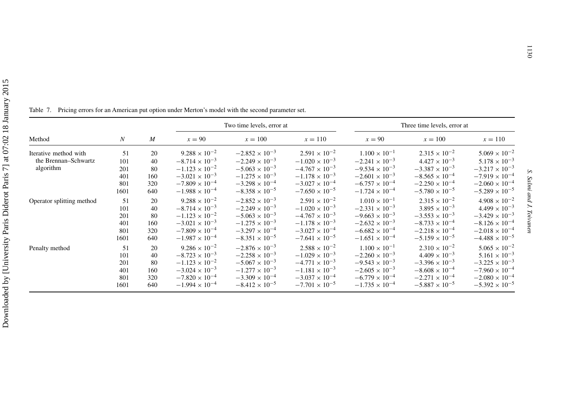<span id="page-20-0"></span>

|                           |                  |                  |                         | Two time levels, error at |                         |                         | Three time levels, error at |                         |
|---------------------------|------------------|------------------|-------------------------|---------------------------|-------------------------|-------------------------|-----------------------------|-------------------------|
| Method                    | $\boldsymbol{N}$ | $\boldsymbol{M}$ | $x = 90$                | $x = 100$                 | $x = 110$               | $x=90$                  | $x = 100$                   | $x = 110$               |
| Iterative method with     | 51               | 20               | $9.288 \times 10^{-2}$  | $-2.852 \times 10^{-3}$   | $2.591 \times 10^{-2}$  | $1.100 \times 10^{-1}$  | $2.315 \times 10^{-2}$      | $5.069 \times 10^{-2}$  |
| the Brennan-Schwartz      | 101              | 40               | $-8.714 \times 10^{-3}$ | $-2.249 \times 10^{-3}$   | $-1.020 \times 10^{-3}$ | $-2.241 \times 10^{-3}$ | $4.427 \times 10^{-3}$      | $5.178 \times 10^{-3}$  |
| algorithm                 | 201              | 80               | $-1.123 \times 10^{-2}$ | $-5.063 \times 10^{-3}$   | $-4.767 \times 10^{-3}$ | $-9.534 \times 10^{-3}$ | $-3.387 \times 10^{-3}$     | $-3.217 \times 10^{-3}$ |
|                           | 401              | 160              | $-3.021 \times 10^{-3}$ | $-1.275 \times 10^{-3}$   | $-1.178 \times 10^{-3}$ | $-2.601 \times 10^{-3}$ | $-8.565 \times 10^{-4}$     | $-7.919 \times 10^{-4}$ |
|                           | 801              | 320              | $-7.809 \times 10^{-4}$ | $-3.298 \times 10^{-4}$   | $-3.027 \times 10^{-4}$ | $-6.757 \times 10^{-4}$ | $-2.250 \times 10^{-4}$     | $-2.060 \times 10^{-4}$ |
|                           | 1601             | 640              | $-1.988 \times 10^{-4}$ | $-8.358 \times 10^{-5}$   | $-7.650 \times 10^{-5}$ | $-1.724 \times 10^{-4}$ | $-5.780 \times 10^{-5}$     | $-5.289 \times 10^{-5}$ |
| Operator splitting method | 51               | 20               | $9.288 \times 10^{-2}$  | $-2.852 \times 10^{-3}$   | $2.591 \times 10^{-2}$  | $1.010 \times 10^{-1}$  | $2.315 \times 10^{-2}$      | $4.908 \times 10^{-2}$  |
|                           | 101              | 40               | $-8.714 \times 10^{-3}$ | $-2.249 \times 10^{-3}$   | $-1.020 \times 10^{-3}$ | $-2.331 \times 10^{-3}$ | $3.895 \times 10^{-3}$      | $4.499 \times 10^{-3}$  |
|                           | 201              | 80               | $-1.123 \times 10^{-2}$ | $-5.063 \times 10^{-3}$   | $-4.767 \times 10^{-3}$ | $-9.663 \times 10^{-3}$ | $-3.553 \times 10^{-3}$     | $-3.429 \times 10^{-3}$ |
|                           | 401              | 160              | $-3.021 \times 10^{-3}$ | $-1.275 \times 10^{-3}$   | $-1.178 \times 10^{-3}$ | $-2.632 \times 10^{-3}$ | $-8.733 \times 10^{-4}$     | $-8.126 \times 10^{-4}$ |
|                           | 801              | 320              | $-7.809 \times 10^{-4}$ | $-3.297 \times 10^{-4}$   | $-3.027 \times 10^{-4}$ | $-6.682 \times 10^{-4}$ | $-2.218 \times 10^{-4}$     | $-2.018 \times 10^{-4}$ |
|                           | 1601             | 640              | $-1.987 \times 10^{-4}$ | $-8.351 \times 10^{-5}$   | $-7.641 \times 10^{-5}$ | $-1.651 \times 10^{-4}$ | $-5.159 \times 10^{-5}$     | $-4.488 \times 10^{-5}$ |
| Penalty method            | 51               | 20               | $9.286 \times 10^{-2}$  | $-2.876 \times 10^{-3}$   | $2.588 \times 10^{-2}$  | $1.100 \times 10^{-1}$  | $2.310 \times 10^{-2}$      | $5.065 \times 10^{-2}$  |
|                           | 101              | 40               | $-8.723 \times 10^{-3}$ | $-2.258 \times 10^{-3}$   | $-1.029 \times 10^{-3}$ | $-2.260 \times 10^{-3}$ | $4.409 \times 10^{-3}$      | $5.161 \times 10^{-3}$  |
|                           | 201              | 80               | $-1.123 \times 10^{-2}$ | $-5.067 \times 10^{-3}$   | $-4.771 \times 10^{-3}$ | $-9.543 \times 10^{-3}$ | $-3.396 \times 10^{-3}$     | $-3.225 \times 10^{-3}$ |
|                           | 401              | 160              | $-3.024 \times 10^{-3}$ | $-1.277 \times 10^{-3}$   | $-1.181 \times 10^{-3}$ | $-2.605 \times 10^{-3}$ | $-8.608 \times 10^{-4}$     | $-7.960 \times 10^{-4}$ |
|                           | 801              | 320              | $-7.820 \times 10^{-4}$ | $-3.309 \times 10^{-4}$   | $-3.037 \times 10^{-4}$ | $-6.779 \times 10^{-4}$ | $-2.271 \times 10^{-4}$     | $-2.080 \times 10^{-4}$ |
|                           | 1601             | 640              | $-1.994 \times 10^{-4}$ | $-8.412 \times 10^{-5}$   | $-7.701 \times 10^{-5}$ | $-1.735 \times 10^{-4}$ | $-5.887 \times 10^{-5}$     | $-5.392 \times 10^{-5}$ |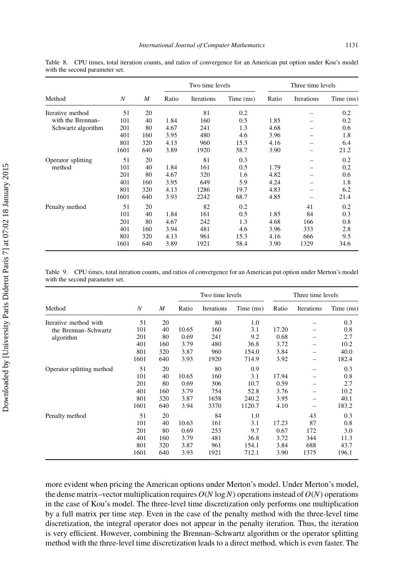| niversity Paris Diderot Paris 7] at 07:02 18 January 2015 |                                        |
|-----------------------------------------------------------|----------------------------------------|
|                                                           |                                        |
|                                                           | $\ddot{\phantom{0}}$                   |
|                                                           | $\begin{array}{c} 1 \\ -1 \end{array}$ |

<span id="page-21-0"></span>Table 8. CPU times, total iteration counts, and ratios of convergence for an American put option under Kou's model with the second parameter set.

|                    |      |     |       | Two time levels |           | Three time levels |            |           |
|--------------------|------|-----|-------|-----------------|-----------|-------------------|------------|-----------|
| Method             | N    | M   | Ratio | Iterations      | Time (ms) | Ratio             | Iterations | Time (ms) |
| Iterative method   | 51   | 20  |       | 81              | 0.2       |                   |            | 0.2       |
| with the Brennan-  | 101  | 40  | 1.84  | 160             | 0.5       | 1.85              |            | 0.2       |
| Schwartz algorithm | 201  | 80  | 4.67  | 241             | 1.3       | 4.68              |            | 0.6       |
|                    | 401  | 160 | 3.95  | 480             | 4.6       | 3.96              |            | 1.8       |
|                    | 801  | 320 | 4.13  | 960             | 15.3      | 4.16              |            | 6.4       |
|                    | 1601 | 640 | 3.89  | 1920            | 58.7      | 3.90              |            | 21.2      |
| Operator splitting | 51   | 20  |       | 81              | 0.3       |                   |            | 0.2       |
| method             | 101  | 40  | 1.84  | 161             | 0.5       | 1.79              |            | 0.2       |
|                    | 201  | 80  | 4.67  | 320             | 1.6       | 4.82              |            | 0.6       |
|                    | 401  | 160 | 3.95  | 649             | 5.9       | 4.24              |            | 1.8       |
|                    | 801  | 320 | 4.13  | 1286            | 19.7      | 4.83              |            | 6.2       |
|                    | 1601 | 640 | 3.93  | 2242            | 68.7      | 4.85              |            | 21.4      |
| Penalty method     | 51   | 20  |       | 82              | 0.2       |                   | 41         | 0.2       |
|                    | 101  | 40  | 1.84  | 161             | 0.5       | 1.85              | 84         | 0.3       |
|                    | 201  | 80  | 4.67  | 242             | 1.3       | 4.68              | 166        | 0.8       |
|                    | 401  | 160 | 3.94  | 481             | 4.6       | 3.96              | 333        | 2.8       |
|                    | 801  | 320 | 4.13  | 961             | 15.3      | 4.16              | 666        | 9.5       |
|                    | 1601 | 640 | 3.89  | 1921            | 58.4      | 3.90              | 1329       | 34.6      |

Table 9. CPU times, total iteration counts, and ratios of convergence for an American put option under Merton's model with the second parameter set.

|                           |      |     |       | Two time levels |           | Three time levels |                          |           |
|---------------------------|------|-----|-------|-----------------|-----------|-------------------|--------------------------|-----------|
| Method                    | N    | M   | Ratio | Iterations      | Time (ms) | Ratio             | Iterations               | Time (ms) |
| Iterative method with     | 51   | 20  |       | 80              | 1.0       |                   |                          | 0.3       |
| the Brennan-Schwartz      | 101  | 40  | 10.65 | 160             | 3.1       | 17.20             |                          | 0.8       |
| algorithm                 | 201  | 80  | 0.69  | 241             | 9.2       | 0.68              |                          | 2.7       |
|                           | 401  | 160 | 3.79  | 480             | 36.8      | 3.72              |                          | 10.2      |
|                           | 801  | 320 | 3.87  | 960             | 154.0     | 3.84              |                          | 40.0      |
|                           | 1601 | 640 | 3.93  | 1920            | 714.9     | 3.92              | -                        | 182.4     |
| Operator splitting method | 51   | 20  |       | 80              | 0.9       |                   | $\overline{\phantom{0}}$ | 0.3       |
|                           | 101  | 40  | 10.65 | 160             | 3.1       | 17.94             |                          | 0.8       |
|                           | 201  | 80  | 0.69  | 306             | 10.7      | 0.59              |                          | 2.7       |
|                           | 401  | 160 | 3.79  | 754             | 52.8      | 3.76              |                          | 10.2      |
|                           | 801  | 320 | 3.87  | 1658            | 240.2     | 3.95              | $\overline{\phantom{0}}$ | 40.1      |
|                           | 1601 | 640 | 3.94  | 3370            | 1120.7    | 4.10              |                          | 183.2     |
| Penalty method            | 51   | 20  |       | 84              | 1.0       |                   | 43                       | 0.3       |
|                           | 101  | 40  | 10.63 | 161             | 3.1       | 17.23             | 87                       | 0.8       |
|                           | 201  | 80  | 0.69  | 253             | 9.7       | 0.67              | 172                      | 3.0       |
|                           | 401  | 160 | 3.79  | 481             | 36.8      | 3.72              | 344                      | 11.3      |
|                           | 801  | 320 | 3.87  | 961             | 154.1     | 3.84              | 688                      | 43.7      |
|                           | 1601 | 640 | 3.93  | 1921            | 712.1     | 3.90              | 1375                     | 196.1     |

more evident when pricing the American options under Merton's model. Under Merton's model, the dense matrix–vector multiplication requires  $O(N \log N)$  operations instead of  $O(N)$  operations in the case of Kou's model. The three-level time discretization only performs one multiplication by a full matrix per time step. Even in the case of the penalty method with the three-level time discretization, the integral operator does not appear in the penalty iteration. Thus, the iteration is very efficient. However, combining the Brennan–Schwartz algorithm or the operator splitting method with the three-level time discretization leads to a direct method, which is even faster. The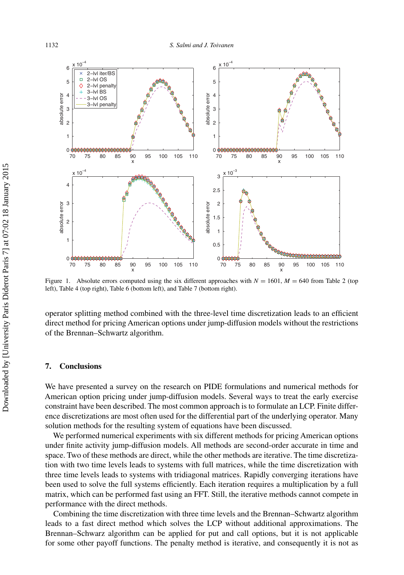<span id="page-22-0"></span>

Figure 1. Absolute errors computed using the six different approaches with  $N = 1601$ ,  $M = 640$  from Table [2](#page-15-0) (top left), Table [4](#page-17-0) (top right), Table [6](#page-19-0) (bottom left), and Table [7](#page-20-0) (bottom right).

operator splitting method combined with the three-level time discretization leads to an efficient direct method for pricing American options under jump-diffusion models without the restrictions of the Brennan–Schwartz algorithm.

### **7. Conclusions**

We have presented a survey on the research on PIDE formulations and numerical methods for American option pricing under jump-diffusion models. Several ways to treat the early exercise constraint have been described. The most common approach is to formulate an LCP. Finite difference discretizations are most often used for the differential part of the underlying operator. Many solution methods for the resulting system of equations have been discussed.

We performed numerical experiments with six different methods for pricing American options under finite activity jump-diffusion models. All methods are second-order accurate in time and space. Two of these methods are direct, while the other methods are iterative. The time discretization with two time levels leads to systems with full matrices, while the time discretization with three time levels leads to systems with tridiagonal matrices. Rapidly converging iterations have been used to solve the full systems efficiently. Each iteration requires a multiplication by a full matrix, which can be performed fast using an FFT. Still, the iterative methods cannot compete in performance with the direct methods.

Combining the time discretization with three time levels and the Brennan–Schwartz algorithm leads to a fast direct method which solves the LCP without additional approximations. The Brennan–Schwarz algorithm can be applied for put and call options, but it is not applicable for some other payoff functions. The penalty method is iterative, and consequently it is not as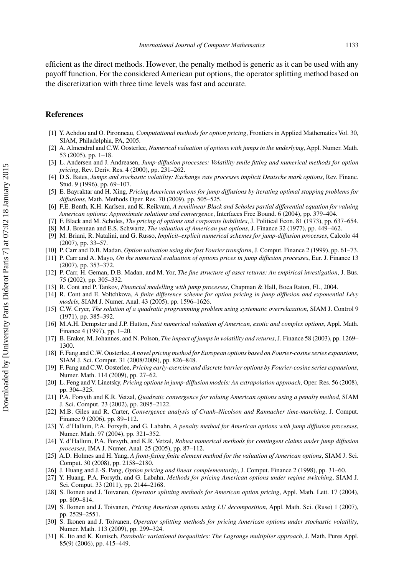<span id="page-23-0"></span>efficient as the direct methods. However, the penalty method is generic as it can be used with any payoff function. For the considered American put options, the operator splitting method based on the discretization with three time levels was fast and accurate.

#### **References**

- [1] Y. Achdou and O. Pironneau, *Computational methods for option pricing*, Frontiers in Applied Mathematics Vol. 30, SIAM, Philadelphia, PA, 2005.
- [2] A. Almendral and C.W. Oosterlee, *Numerical valuation of options with jumps in the underlying*, Appl. Numer. Math. 53 (2005), pp. 1–18.
- [3] L. Andersen and J. Andreasen, *Jump-diffusion processes: Volatility smile fitting and numerical methods for option pricing*, Rev. Deriv. Res. 4 (2000), pp. 231–262.
- [4] D.S. Bates, *Jumps and stochastic volatility: Exchange rate processes implicit Deutsche mark options*, Rev. Financ. Stud. 9 (1996), pp. 69–107.
- [5] E. Bayraktar and H. Xing, *Pricing American options for jump diffusions by iterating optimal stopping problems for diffusions*, Math. Methods Oper. Res. 70 (2009), pp. 505–525.
- [6] F.E. Benth, K.H. Karlsen, and K. Reikvam, *A semilinear Black and Scholes partial differential equation for valuing American options: Approximate solutions and convergence*, Interfaces Free Bound. 6 (2004), pp. 379–404.
- [7] F. Black and M. Scholes, *The pricing of options and corporate liabilities*, J. Political Econ. 81 (1973), pp. 637–654.
- [8] M.J. Brennan and E.S. Schwartz, *The valuation of American put options*, J. Finance 32 (1977), pp. 449–462.
- [9] M. Briani, R. Natalini, and G. Russo, *Implicit–explicit numerical schemes for jump-diffusion processes*, Calcolo 44 (2007), pp. 33–57.
- [10] P. Carr and D.B. Madan, *Option valuation using the fast Fourier transform*, J. Comput. Finance 2 (1999), pp. 61–73.
- [11] P. Carr and A. Mayo, *On the numerical evaluation of options prices in jump diffusion processes*, Eur. J. Finance 13 (2007), pp. 353–372.
- [12] P. Carr, H. Geman, D.B. Madan, and M. Yor, *The fine structure of asset returns: An empirical investigation*, J. Bus. 75 (2002), pp. 305–332.
- [13] R. Cont and P. Tankov, *Financial modelling with jump processes*, Chapman & Hall, Boca Raton, FL, 2004.
- [14] R. Cont and E. Voltchkova, *A finite difference scheme for option pricing in jump diffusion and exponential Lévy models*, SIAM J. Numer. Anal. 43 (2005), pp. 1596–1626.
- [15] C.W. Cryer, *The solution of a quadratic programming problem using systematic overrelaxation*, SIAM J. Control 9 (1971), pp. 385–392.
- [16] M.A.H. Dempster and J.P. Hutton, *Fast numerical valuation of American, exotic and complex options*, Appl. Math. Finance 4 (1997), pp. 1–20.
- [17] B. Eraker, M. Johannes, and N. Polson, *The impact of jumps in volatility and returns*, J. Finance 58 (2003), pp. 1269– 1300.
- [18] F. Fang and C.W. Oosterlee,*A novel pricing method for European options based on Fourier-cosine series expansions*, SIAM J. Sci. Comput. 31 (2008/2009), pp. 826–848.
- [19] F. Fang and C.W. Oosterlee, *Pricing early-exercise and discrete barrier options by Fourier-cosine series expansions*, Numer. Math. 114 (2009), pp. 27–62.
- [20] L. Feng and V. Linetsky, *Pricing options in jump-diffusion models: An extrapolation approach*, Oper. Res. 56 (2008), pp. 304–325.
- [21] P.A. Forsyth and K.R. Vetzal, *Quadratic convergence for valuing American options using a penalty method*, SIAM J. Sci. Comput. 23 (2002), pp. 2095–2122.
- [22] M.B. Giles and R. Carter, *Convergence analysis of Crank–Nicolson and Rannacher time-marching*, J. Comput. Finance 9 (2006), pp. 89–112.
- [23] Y. d'Halluin, P.A. Forsyth, and G. Labahn, *A penalty method for American options with jump diffusion processes*, Numer. Math. 97 (2004), pp. 321–352.
- [24] Y. d'Halluin, P.A. Forsyth, and K.R. Vetzal, *Robust numerical methods for contingent claims under jump diffusion processes*, IMA J. Numer. Anal. 25 (2005), pp. 87–112.
- [25] A.D. Holmes and H. Yang, *A front-fixing finite element method for the valuation of American options*, SIAM J. Sci. Comput. 30 (2008), pp. 2158–2180.
- [26] J. Huang and J.-S. Pang, *Option pricing and linear complementarity*, J. Comput. Finance 2 (1998), pp. 31–60.
- [27] Y. Huang, P.A. Forsyth, and G. Labahn, *Methods for pricing American options under regime switching*, SIAM J. Sci. Comput. 33 (2011), pp. 2144–2168.
- [28] S. Ikonen and J. Toivanen, *Operator splitting methods for American option pricing*, Appl. Math. Lett. 17 (2004), pp. 809–814.
- [29] S. Ikonen and J. Toivanen, *Pricing American options using LU decomposition*, Appl. Math. Sci. (Ruse) 1 (2007), pp. 2529–2551.
- [30] S. Ikonen and J. Toivanen, *Operator splitting methods for pricing American options under stochastic volatility*, Numer. Math. 113 (2009), pp. 299–324.
- [31] K. Ito and K. Kunisch, *Parabolic variational inequalities: The Lagrange multiplier approach*, J. Math. Pures Appl. 85(9) (2006), pp. 415–449.